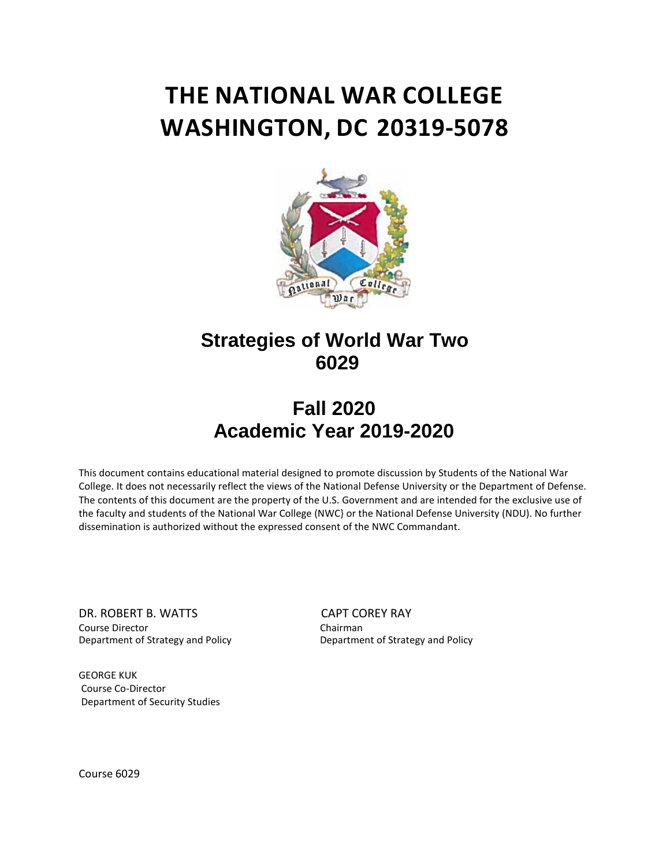# **THE NATIONAL WAR COLLEGE WASHINGTON, DC 20319-5078**



# **Strategies of World War Two 6029**

# **Fall 2020 Academic Year 2019-2020**

This document contains educational material designed to promote discussion by Students of the National War College. It does not necessarily reflect the views of the National Defense University or the Department of Defense. The contents of this document are the property of the U.S. Government and are intended for the exclusive use of the faculty and students of the National War College (NWC} or the National Defense University (NDU). No further dissemination is authorized without the expressed consent of the NWC Commandant.

DR. ROBERT B. WATTS CAPT COREY RAY Department of Strategy and Policy

Course Director<br>
Department of Strategy and Policy<br>
Department of Strategy and Policy<br>
Department of Strategy and Policy

GEORGE KUK Course Co-Director Department of Security Studies

Course 6029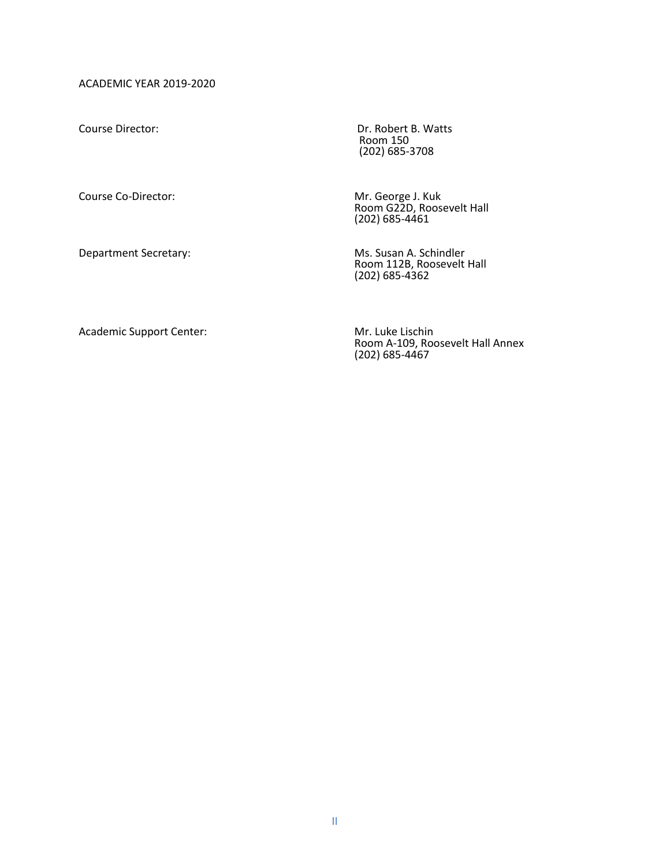ACADEMIC YEAR 2019-2020

Course Co-Director: Mr. George J. Kuk

Department Secretary: Ms. Susan A. Schindler

Course Director: Course Director: Course Director: Room 150 (202) 685-3708

> Room G22D, Roosevelt Hall (202) 685-4461

Room 112B, Roosevelt Hall (202) 685-4362

Academic Support Center: Mr. Luke Lischin

Room A-109, Roosevelt Hall Annex (202) 685-4467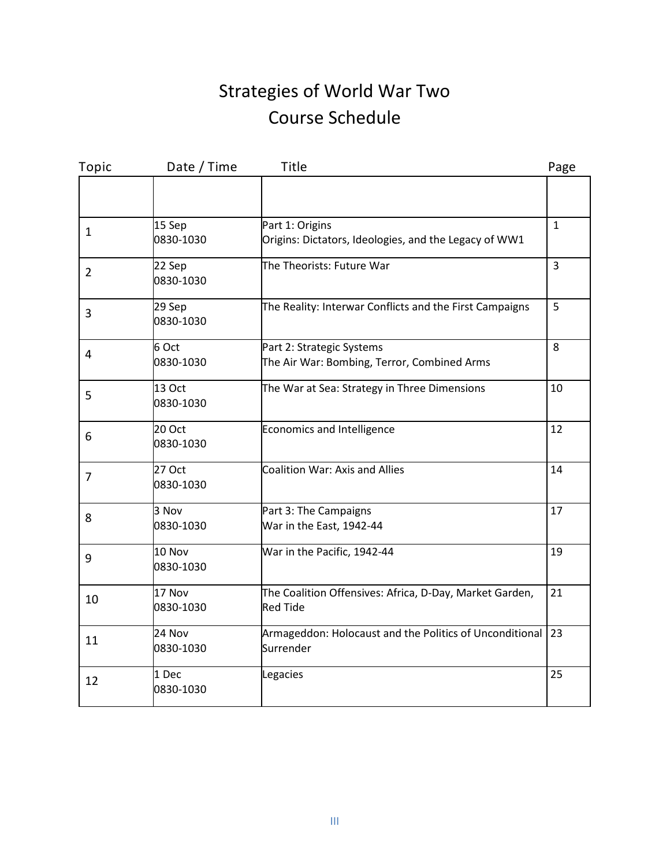# Strategies of World War Two Course Schedule

| Topic          | Date / Time         | Title                                                                      | Page           |
|----------------|---------------------|----------------------------------------------------------------------------|----------------|
|                |                     |                                                                            |                |
| $\mathbf{1}$   | 15 Sep<br>0830-1030 | Part 1: Origins<br>Origins: Dictators, Ideologies, and the Legacy of WW1   | $\mathbf{1}$   |
| $\overline{2}$ | 22 Sep<br>0830-1030 | The Theorists: Future War                                                  | $\overline{3}$ |
| 3              | 29 Sep<br>0830-1030 | The Reality: Interwar Conflicts and the First Campaigns                    | 5              |
| $\overline{4}$ | 6 Oct<br>0830-1030  | Part 2: Strategic Systems<br>The Air War: Bombing, Terror, Combined Arms   | 8              |
| 5              | 13 Oct<br>0830-1030 | The War at Sea: Strategy in Three Dimensions                               | 10             |
| 6              | 20 Oct<br>0830-1030 | Economics and Intelligence                                                 | 12             |
| 7              | 27 Oct<br>0830-1030 | Coalition War: Axis and Allies                                             | 14             |
| 8              | 3 Nov<br>0830-1030  | Part 3: The Campaigns<br>War in the East, 1942-44                          | 17             |
| 9              | 10 Nov<br>0830-1030 | War in the Pacific, 1942-44                                                | 19             |
| 10             | 17 Nov<br>0830-1030 | The Coalition Offensives: Africa, D-Day, Market Garden,<br><b>Red Tide</b> | 21             |
| 11             | 24 Nov<br>0830-1030 | Armageddon: Holocaust and the Politics of Unconditional<br>Surrender       | 23             |
| 12             | 1 Dec<br>0830-1030  | Legacies                                                                   | 25             |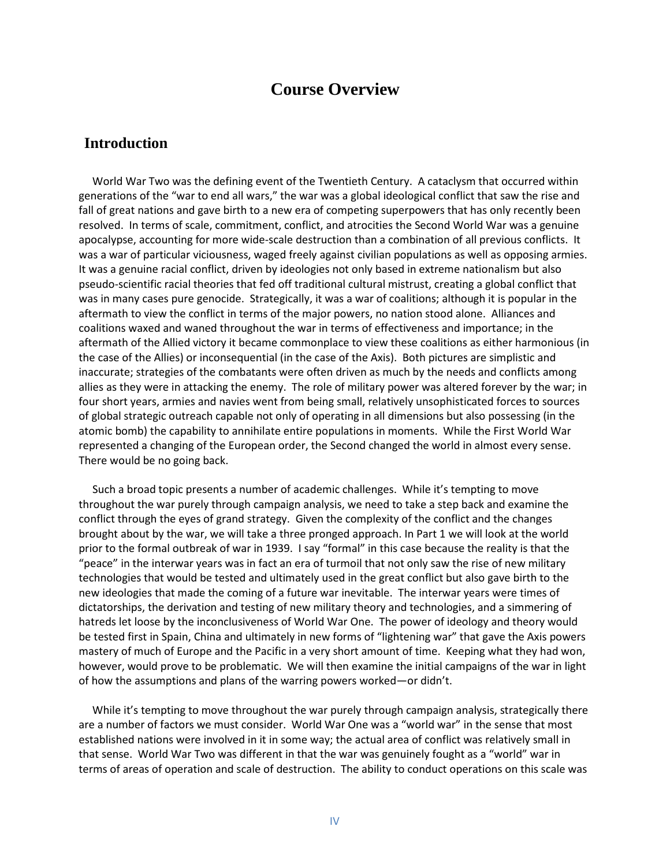# **Course Overview**

# **Introduction**

 World War Two was the defining event of the Twentieth Century. A cataclysm that occurred within generations of the "war to end all wars," the war was a global ideological conflict that saw the rise and fall of great nations and gave birth to a new era of competing superpowers that has only recently been resolved. In terms of scale, commitment, conflict, and atrocities the Second World War was a genuine apocalypse, accounting for more wide-scale destruction than a combination of all previous conflicts. It was a war of particular viciousness, waged freely against civilian populations as well as opposing armies. It was a genuine racial conflict, driven by ideologies not only based in extreme nationalism but also pseudo-scientific racial theories that fed off traditional cultural mistrust, creating a global conflict that was in many cases pure genocide. Strategically, it was a war of coalitions; although it is popular in the aftermath to view the conflict in terms of the major powers, no nation stood alone. Alliances and coalitions waxed and waned throughout the war in terms of effectiveness and importance; in the aftermath of the Allied victory it became commonplace to view these coalitions as either harmonious (in the case of the Allies) or inconsequential (in the case of the Axis). Both pictures are simplistic and inaccurate; strategies of the combatants were often driven as much by the needs and conflicts among allies as they were in attacking the enemy. The role of military power was altered forever by the war; in four short years, armies and navies went from being small, relatively unsophisticated forces to sources of global strategic outreach capable not only of operating in all dimensions but also possessing (in the atomic bomb) the capability to annihilate entire populations in moments. While the First World War represented a changing of the European order, the Second changed the world in almost every sense. There would be no going back.

 Such a broad topic presents a number of academic challenges. While it's tempting to move throughout the war purely through campaign analysis, we need to take a step back and examine the conflict through the eyes of grand strategy. Given the complexity of the conflict and the changes brought about by the war, we will take a three pronged approach. In Part 1 we will look at the world prior to the formal outbreak of war in 1939. I say "formal" in this case because the reality is that the "peace" in the interwar years was in fact an era of turmoil that not only saw the rise of new military technologies that would be tested and ultimately used in the great conflict but also gave birth to the new ideologies that made the coming of a future war inevitable. The interwar years were times of dictatorships, the derivation and testing of new military theory and technologies, and a simmering of hatreds let loose by the inconclusiveness of World War One. The power of ideology and theory would be tested first in Spain, China and ultimately in new forms of "lightening war" that gave the Axis powers mastery of much of Europe and the Pacific in a very short amount of time. Keeping what they had won, however, would prove to be problematic. We will then examine the initial campaigns of the war in light of how the assumptions and plans of the warring powers worked—or didn't.

While it's tempting to move throughout the war purely through campaign analysis, strategically there are a number of factors we must consider. World War One was a "world war" in the sense that most established nations were involved in it in some way; the actual area of conflict was relatively small in that sense. World War Two was different in that the war was genuinely fought as a "world" war in terms of areas of operation and scale of destruction. The ability to conduct operations on this scale was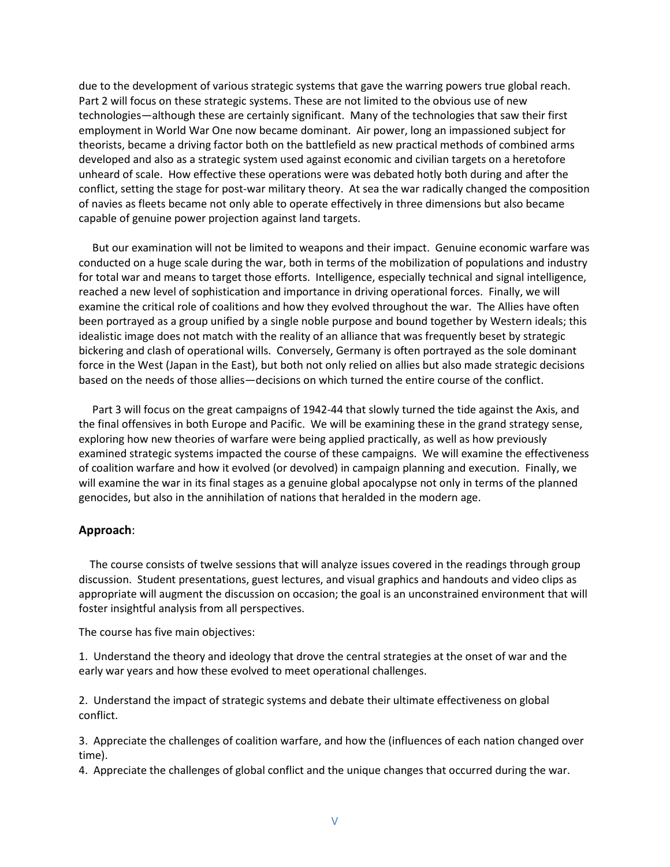due to the development of various strategic systems that gave the warring powers true global reach. Part 2 will focus on these strategic systems. These are not limited to the obvious use of new technologies—although these are certainly significant. Many of the technologies that saw their first employment in World War One now became dominant. Air power, long an impassioned subject for theorists, became a driving factor both on the battlefield as new practical methods of combined arms developed and also as a strategic system used against economic and civilian targets on a heretofore unheard of scale. How effective these operations were was debated hotly both during and after the conflict, setting the stage for post-war military theory. At sea the war radically changed the composition of navies as fleets became not only able to operate effectively in three dimensions but also became capable of genuine power projection against land targets.

 But our examination will not be limited to weapons and their impact. Genuine economic warfare was conducted on a huge scale during the war, both in terms of the mobilization of populations and industry for total war and means to target those efforts. Intelligence, especially technical and signal intelligence, reached a new level of sophistication and importance in driving operational forces. Finally, we will examine the critical role of coalitions and how they evolved throughout the war. The Allies have often been portrayed as a group unified by a single noble purpose and bound together by Western ideals; this idealistic image does not match with the reality of an alliance that was frequently beset by strategic bickering and clash of operational wills. Conversely, Germany is often portrayed as the sole dominant force in the West (Japan in the East), but both not only relied on allies but also made strategic decisions based on the needs of those allies—decisions on which turned the entire course of the conflict.

 Part 3 will focus on the great campaigns of 1942-44 that slowly turned the tide against the Axis, and the final offensives in both Europe and Pacific. We will be examining these in the grand strategy sense, exploring how new theories of warfare were being applied practically, as well as how previously examined strategic systems impacted the course of these campaigns. We will examine the effectiveness of coalition warfare and how it evolved (or devolved) in campaign planning and execution. Finally, we will examine the war in its final stages as a genuine global apocalypse not only in terms of the planned genocides, but also in the annihilation of nations that heralded in the modern age.

#### **Approach**:

 The course consists of twelve sessions that will analyze issues covered in the readings through group discussion. Student presentations, guest lectures, and visual graphics and handouts and video clips as appropriate will augment the discussion on occasion; the goal is an unconstrained environment that will foster insightful analysis from all perspectives.

The course has five main objectives:

1. Understand the theory and ideology that drove the central strategies at the onset of war and the early war years and how these evolved to meet operational challenges.

2. Understand the impact of strategic systems and debate their ultimate effectiveness on global conflict.

3. Appreciate the challenges of coalition warfare, and how the (influences of each nation changed over time).

4. Appreciate the challenges of global conflict and the unique changes that occurred during the war.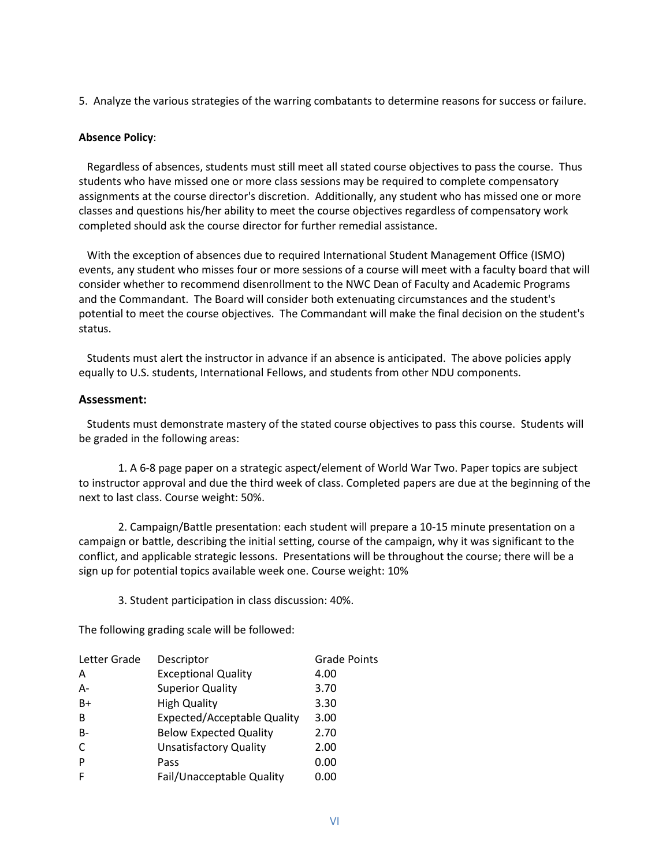5. Analyze the various strategies of the warring combatants to determine reasons for success or failure.

### **Absence Policy**:

 Regardless of absences, students must still meet all stated course objectives to pass the course. Thus students who have missed one or more class sessions may be required to complete compensatory assignments at the course director's discretion. Additionally, any student who has missed one or more classes and questions his/her ability to meet the course objectives regardless of compensatory work completed should ask the course director for further remedial assistance.

 With the exception of absences due to required International Student Management Office (ISMO) events, any student who misses four or more sessions of a course will meet with a faculty board that will consider whether to recommend disenrollment to the NWC Dean of Faculty and Academic Programs and the Commandant. The Board will consider both extenuating circumstances and the student's potential to meet the course objectives. The Commandant will make the final decision on the student's status.

 Students must alert the instructor in advance if an absence is anticipated. The above policies apply equally to U.S. students, International Fellows, and students from other NDU components.

#### **Assessment:**

 Students must demonstrate mastery of the stated course objectives to pass this course. Students will be graded in the following areas:

1. A 6-8 page paper on a strategic aspect/element of World War Two. Paper topics are subject to instructor approval and due the third week of class. Completed papers are due at the beginning of the next to last class. Course weight: 50%.

2. Campaign/Battle presentation: each student will prepare a 10-15 minute presentation on a campaign or battle, describing the initial setting, course of the campaign, why it was significant to the conflict, and applicable strategic lessons. Presentations will be throughout the course; there will be a sign up for potential topics available week one. Course weight: 10%

3. Student participation in class discussion: 40%.

The following grading scale will be followed:

| Letter Grade | Descriptor                         | <b>Grade Points</b> |
|--------------|------------------------------------|---------------------|
| Α            | <b>Exceptional Quality</b>         | 4.00                |
| $A -$        | <b>Superior Quality</b>            | 3.70                |
| $B+$         | <b>High Quality</b>                | 3.30                |
| B            | <b>Expected/Acceptable Quality</b> | 3.00                |
| $B -$        | <b>Below Expected Quality</b>      | 2.70                |
| C            | <b>Unsatisfactory Quality</b>      | 2.00                |
| P            | Pass                               | 0.00                |
| F            | Fail/Unacceptable Quality          | 0.00                |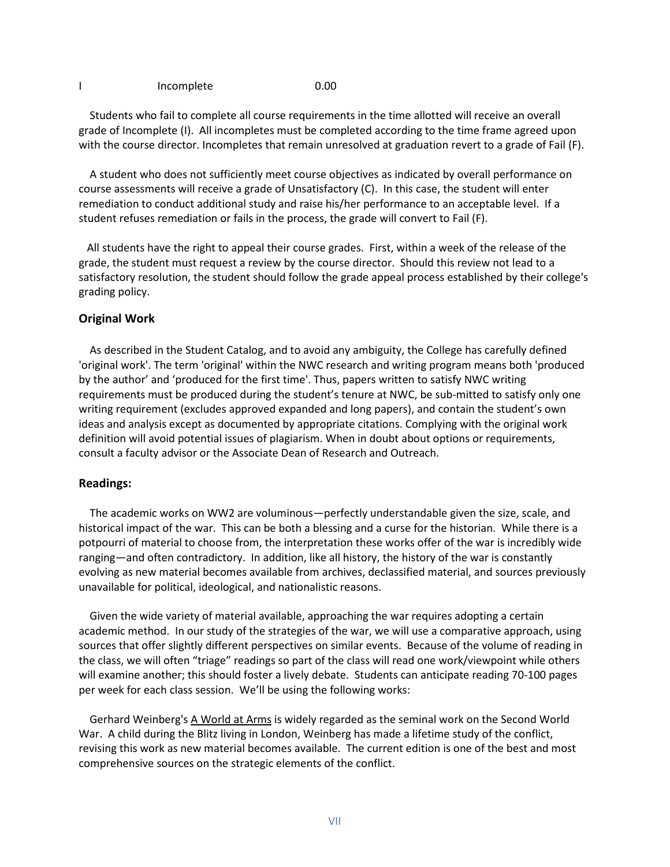#### I Incomplete 0.00

 Students who fail to complete all course requirements in the time allotted will receive an overall grade of Incomplete (I). All incompletes must be completed according to the time frame agreed upon with the course director. Incompletes that remain unresolved at graduation revert to a grade of Fail (F).

 A student who does not sufficiently meet course objectives as indicated by overall performance on course assessments will receive a grade of Unsatisfactory (C). In this case, the student will enter remediation to conduct additional study and raise his/her performance to an acceptable level. If a student refuses remediation or fails in the process, the grade will convert to Fail (F).

 All students have the right to appeal their course grades. First, within a week of the release of the grade, the student must request a review by the course director. Should this review not lead to a satisfactory resolution, the student should follow the grade appeal process established by their college's grading policy.

## **Original Work**

 As described in the Student Catalog, and to avoid any ambiguity, the College has carefully defined 'original work'. The term 'original' within the NWC research and writing program means both 'produced by the author' and 'produced for the first time'. Thus, papers written to satisfy NWC writing requirements must be produced during the student's tenure at NWC, be sub-mitted to satisfy only one writing requirement (excludes approved expanded and long papers), and contain the student's own ideas and analysis except as documented by appropriate citations. Complying with the original work definition will avoid potential issues of plagiarism. When in doubt about options or requirements, consult a faculty advisor or the Associate Dean of Research and Outreach.

#### **Readings:**

 The academic works on WW2 are voluminous—perfectly understandable given the size, scale, and historical impact of the war. This can be both a blessing and a curse for the historian. While there is a potpourri of material to choose from, the interpretation these works offer of the war is incredibly wide ranging—and often contradictory. In addition, like all history, the history of the war is constantly evolving as new material becomes available from archives, declassified material, and sources previously unavailable for political, ideological, and nationalistic reasons.

 Given the wide variety of material available, approaching the war requires adopting a certain academic method. In our study of the strategies of the war, we will use a comparative approach, using sources that offer slightly different perspectives on similar events. Because of the volume of reading in the class, we will often "triage" readings so part of the class will read one work/viewpoint while others will examine another; this should foster a lively debate. Students can anticipate reading 70-100 pages per week for each class session. We'll be using the following works:

Gerhard Weinberg's A World at Arms is widely regarded as the seminal work on the Second World War. A child during the Blitz living in London, Weinberg has made a lifetime study of the conflict, revising this work as new material becomes available. The current edition is one of the best and most comprehensive sources on the strategic elements of the conflict.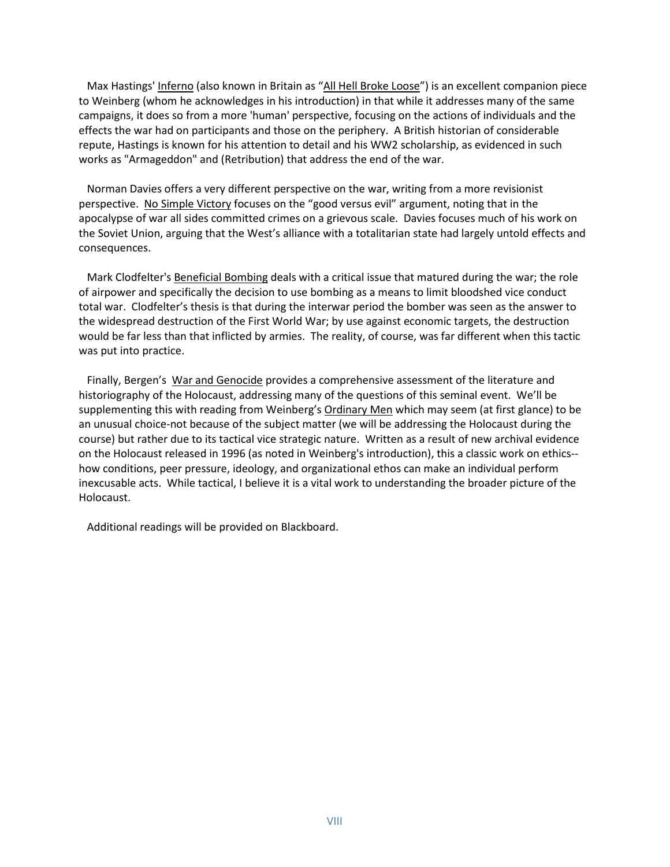Max Hastings' Inferno (also known in Britain as "All Hell Broke Loose") is an excellent companion piece to Weinberg (whom he acknowledges in his introduction) in that while it addresses many of the same campaigns, it does so from a more 'human' perspective, focusing on the actions of individuals and the effects the war had on participants and those on the periphery. A British historian of considerable repute, Hastings is known for his attention to detail and his WW2 scholarship, as evidenced in such works as "Armageddon" and (Retribution) that address the end of the war.

 Norman Davies offers a very different perspective on the war, writing from a more revisionist perspective. No Simple Victory focuses on the "good versus evil" argument, noting that in the apocalypse of war all sides committed crimes on a grievous scale. Davies focuses much of his work on the Soviet Union, arguing that the West's alliance with a totalitarian state had largely untold effects and consequences.

 Mark Clodfelter's Beneficial Bombing deals with a critical issue that matured during the war; the role of airpower and specifically the decision to use bombing as a means to limit bloodshed vice conduct total war. Clodfelter's thesis is that during the interwar period the bomber was seen as the answer to the widespread destruction of the First World War; by use against economic targets, the destruction would be far less than that inflicted by armies. The reality, of course, was far different when this tactic was put into practice.

 Finally, Bergen's War and Genocide provides a comprehensive assessment of the literature and historiography of the Holocaust, addressing many of the questions of this seminal event. We'll be supplementing this with reading from Weinberg's Ordinary Men which may seem (at first glance) to be an unusual choice-not because of the subject matter (we will be addressing the Holocaust during the course) but rather due to its tactical vice strategic nature. Written as a result of new archival evidence on the Holocaust released in 1996 (as noted in Weinberg's introduction), this a classic work on ethics- how conditions, peer pressure, ideology, and organizational ethos can make an individual perform inexcusable acts. While tactical, I believe it is a vital work to understanding the broader picture of the Holocaust.

Additional readings will be provided on Blackboard.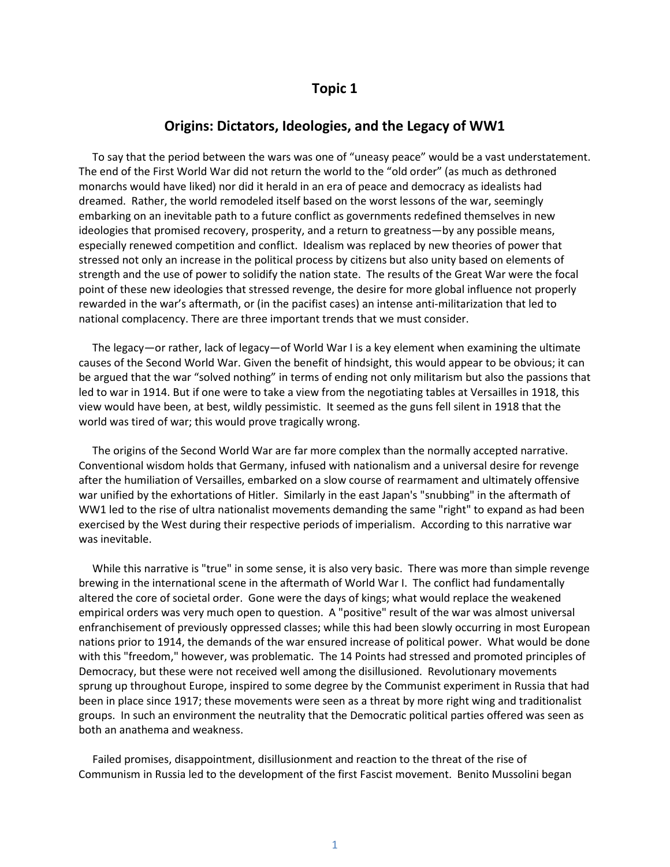# **Topic 1**

# **Origins: Dictators, Ideologies, and the Legacy of WW1**

 To say that the period between the wars was one of "uneasy peace" would be a vast understatement. The end of the First World War did not return the world to the "old order" (as much as dethroned monarchs would have liked) nor did it herald in an era of peace and democracy as idealists had dreamed. Rather, the world remodeled itself based on the worst lessons of the war, seemingly embarking on an inevitable path to a future conflict as governments redefined themselves in new ideologies that promised recovery, prosperity, and a return to greatness—by any possible means, especially renewed competition and conflict. Idealism was replaced by new theories of power that stressed not only an increase in the political process by citizens but also unity based on elements of strength and the use of power to solidify the nation state. The results of the Great War were the focal point of these new ideologies that stressed revenge, the desire for more global influence not properly rewarded in the war's aftermath, or (in the pacifist cases) an intense anti-militarization that led to national complacency. There are three important trends that we must consider.

 The legacy—or rather, lack of legacy—of World War I is a key element when examining the ultimate causes of the Second World War. Given the benefit of hindsight, this would appear to be obvious; it can be argued that the war "solved nothing" in terms of ending not only militarism but also the passions that led to war in 1914. But if one were to take a view from the negotiating tables at Versailles in 1918, this view would have been, at best, wildly pessimistic. It seemed as the guns fell silent in 1918 that the world was tired of war; this would prove tragically wrong.

 The origins of the Second World War are far more complex than the normally accepted narrative. Conventional wisdom holds that Germany, infused with nationalism and a universal desire for revenge after the humiliation of Versailles, embarked on a slow course of rearmament and ultimately offensive war unified by the exhortations of Hitler. Similarly in the east Japan's "snubbing" in the aftermath of WW1 led to the rise of ultra nationalist movements demanding the same "right" to expand as had been exercised by the West during their respective periods of imperialism. According to this narrative war was inevitable.

 While this narrative is "true" in some sense, it is also very basic. There was more than simple revenge brewing in the international scene in the aftermath of World War I. The conflict had fundamentally altered the core of societal order. Gone were the days of kings; what would replace the weakened empirical orders was very much open to question. A "positive" result of the war was almost universal enfranchisement of previously oppressed classes; while this had been slowly occurring in most European nations prior to 1914, the demands of the war ensured increase of political power. What would be done with this "freedom," however, was problematic. The 14 Points had stressed and promoted principles of Democracy, but these were not received well among the disillusioned. Revolutionary movements sprung up throughout Europe, inspired to some degree by the Communist experiment in Russia that had been in place since 1917; these movements were seen as a threat by more right wing and traditionalist groups. In such an environment the neutrality that the Democratic political parties offered was seen as both an anathema and weakness.

 Failed promises, disappointment, disillusionment and reaction to the threat of the rise of Communism in Russia led to the development of the first Fascist movement. Benito Mussolini began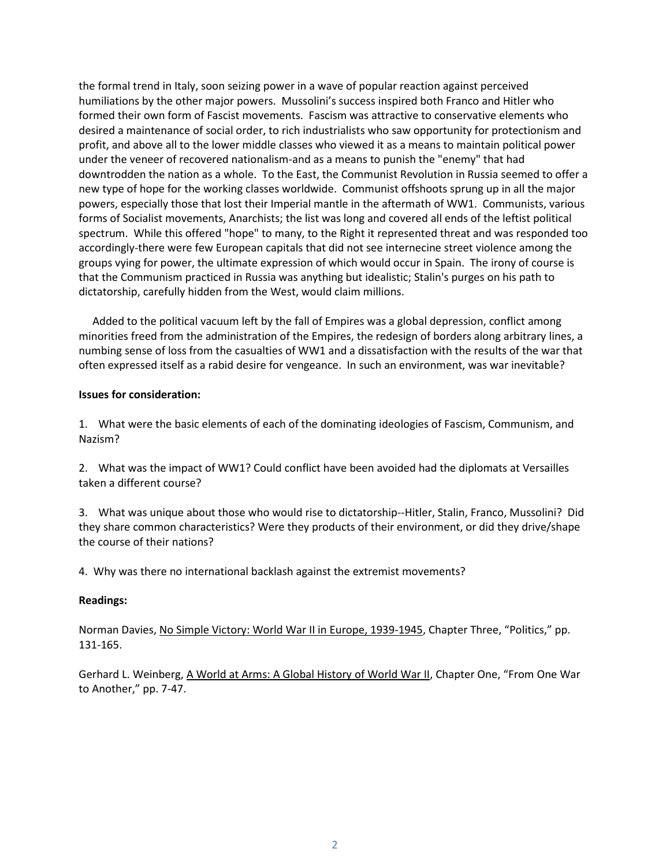the formal trend in Italy, soon seizing power in a wave of popular reaction against perceived humiliations by the other major powers. Mussolini's success inspired both Franco and Hitler who formed their own form of Fascist movements. Fascism was attractive to conservative elements who desired a maintenance of social order, to rich industrialists who saw opportunity for protectionism and profit, and above all to the lower middle classes who viewed it as a means to maintain political power under the veneer of recovered nationalism-and as a means to punish the "enemy" that had downtrodden the nation as a whole. To the East, the Communist Revolution in Russia seemed to offer a new type of hope for the working classes worldwide. Communist offshoots sprung up in all the major powers, especially those that lost their Imperial mantle in the aftermath of WW1. Communists, various forms of Socialist movements, Anarchists; the list was long and covered all ends of the leftist political spectrum. While this offered "hope" to many, to the Right it represented threat and was responded too accordingly-there were few European capitals that did not see internecine street violence among the groups vying for power, the ultimate expression of which would occur in Spain. The irony of course is that the Communism practiced in Russia was anything but idealistic; Stalin's purges on his path to dictatorship, carefully hidden from the West, would claim millions.

 Added to the political vacuum left by the fall of Empires was a global depression, conflict among minorities freed from the administration of the Empires, the redesign of borders along arbitrary lines, a numbing sense of loss from the casualties of WW1 and a dissatisfaction with the results of the war that often expressed itself as a rabid desire for vengeance. In such an environment, was war inevitable?

# **Issues for consideration:**

1. What were the basic elements of each of the dominating ideologies of Fascism, Communism, and Nazism?

2. What was the impact of WW1? Could conflict have been avoided had the diplomats at Versailles taken a different course?

3. What was unique about those who would rise to dictatorship--Hitler, Stalin, Franco, Mussolini? Did they share common characteristics? Were they products of their environment, or did they drive/shape the course of their nations?

4. Why was there no international backlash against the extremist movements?

#### **Readings:**

Norman Davies, No Simple Victory: World War II in Europe, 1939-1945, Chapter Three, "Politics," pp. 131-165.

Gerhard L. Weinberg, A World at Arms: A Global History of World War II, Chapter One, "From One War to Another," pp. 7-47.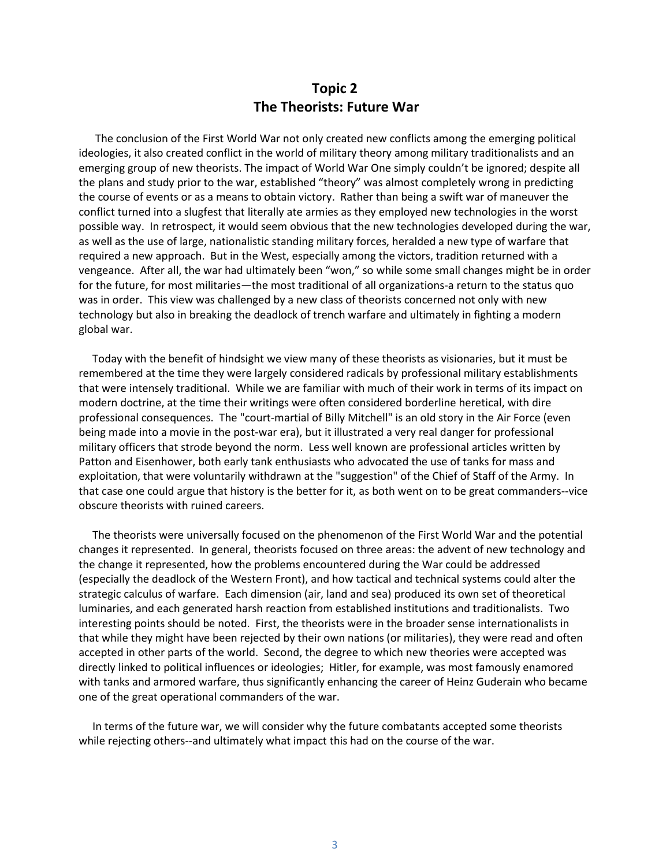# **Topic 2 The Theorists: Future War**

 The conclusion of the First World War not only created new conflicts among the emerging political ideologies, it also created conflict in the world of military theory among military traditionalists and an emerging group of new theorists. The impact of World War One simply couldn't be ignored; despite all the plans and study prior to the war, established "theory" was almost completely wrong in predicting the course of events or as a means to obtain victory. Rather than being a swift war of maneuver the conflict turned into a slugfest that literally ate armies as they employed new technologies in the worst possible way. In retrospect, it would seem obvious that the new technologies developed during the war, as well as the use of large, nationalistic standing military forces, heralded a new type of warfare that required a new approach. But in the West, especially among the victors, tradition returned with a vengeance. After all, the war had ultimately been "won," so while some small changes might be in order for the future, for most militaries—the most traditional of all organizations-a return to the status quo was in order. This view was challenged by a new class of theorists concerned not only with new technology but also in breaking the deadlock of trench warfare and ultimately in fighting a modern global war.

 Today with the benefit of hindsight we view many of these theorists as visionaries, but it must be remembered at the time they were largely considered radicals by professional military establishments that were intensely traditional. While we are familiar with much of their work in terms of its impact on modern doctrine, at the time their writings were often considered borderline heretical, with dire professional consequences. The "court-martial of Billy Mitchell" is an old story in the Air Force (even being made into a movie in the post-war era), but it illustrated a very real danger for professional military officers that strode beyond the norm. Less well known are professional articles written by Patton and Eisenhower, both early tank enthusiasts who advocated the use of tanks for mass and exploitation, that were voluntarily withdrawn at the "suggestion" of the Chief of Staff of the Army. In that case one could argue that history is the better for it, as both went on to be great commanders--vice obscure theorists with ruined careers.

 The theorists were universally focused on the phenomenon of the First World War and the potential changes it represented. In general, theorists focused on three areas: the advent of new technology and the change it represented, how the problems encountered during the War could be addressed (especially the deadlock of the Western Front), and how tactical and technical systems could alter the strategic calculus of warfare. Each dimension (air, land and sea) produced its own set of theoretical luminaries, and each generated harsh reaction from established institutions and traditionalists. Two interesting points should be noted. First, the theorists were in the broader sense internationalists in that while they might have been rejected by their own nations (or militaries), they were read and often accepted in other parts of the world. Second, the degree to which new theories were accepted was directly linked to political influences or ideologies; Hitler, for example, was most famously enamored with tanks and armored warfare, thus significantly enhancing the career of Heinz Guderain who became one of the great operational commanders of the war.

 In terms of the future war, we will consider why the future combatants accepted some theorists while rejecting others--and ultimately what impact this had on the course of the war.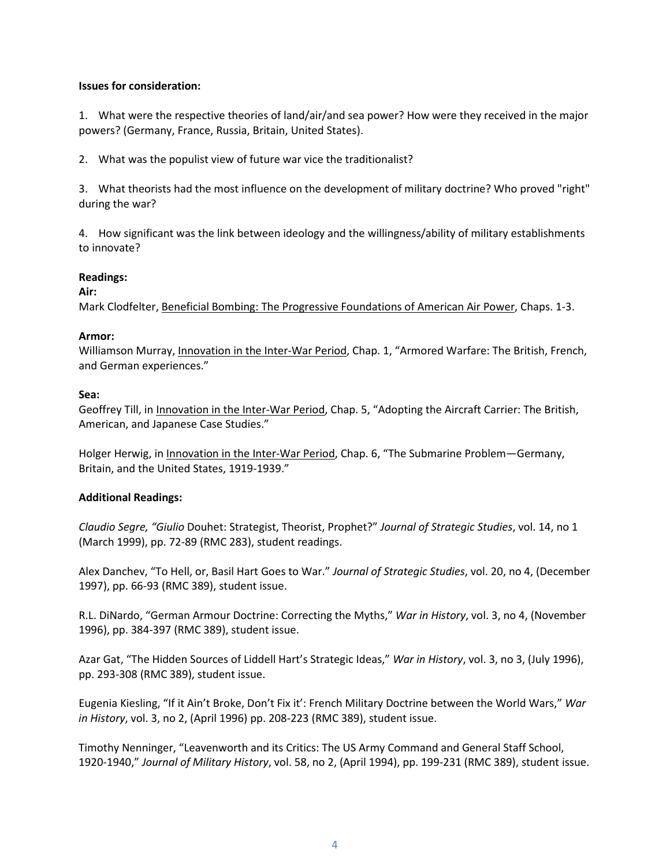## **Issues for consideration:**

1. What were the respective theories of land/air/and sea power? How were they received in the major powers? (Germany, France, Russia, Britain, United States).

2. What was the populist view of future war vice the traditionalist?

3. What theorists had the most influence on the development of military doctrine? Who proved "right" during the war?

4. How significant was the link between ideology and the willingness/ability of military establishments to innovate?

# **Readings:**

# **Air:**

Mark Clodfelter, Beneficial Bombing: The Progressive Foundations of American Air Power, Chaps. 1-3.

## **Armor:**

Williamson Murray, Innovation in the Inter-War Period, Chap. 1, "Armored Warfare: The British, French, and German experiences."

## **Sea:**

Geoffrey Till, in Innovation in the Inter-War Period, Chap. 5, "Adopting the Aircraft Carrier: The British, American, and Japanese Case Studies."

Holger Herwig, in Innovation in the Inter-War Period, Chap. 6, "The Submarine Problem—Germany, Britain, and the United States, 1919-1939."

# **Additional Readings:**

*Claudio Segre, "Giulio* Douhet: Strategist, Theorist, Prophet?" *Journal of Strategic Studies*, vol. 14, no 1 (March 1999), pp. 72-89 (RMC 283), student readings.

Alex Danchev, "To Hell, or, Basil Hart Goes to War." *Journal of Strategic Studies*, vol. 20, no 4, (December 1997), pp. 66-93 (RMC 389), student issue.

R.L. DiNardo, "German Armour Doctrine: Correcting the Myths," *War in History*, vol. 3, no 4, (November 1996), pp. 384-397 (RMC 389), student issue.

Azar Gat, "The Hidden Sources of Liddell Hart's Strategic Ideas," *War in History*, vol. 3, no 3, (July 1996), pp. 293-308 (RMC 389), student issue.

Eugenia Kiesling, "If it Ain't Broke, Don't Fix it': French Military Doctrine between the World Wars," *War in History*, vol. 3, no 2, (April 1996) pp. 208-223 (RMC 389), student issue.

Timothy Nenninger, "Leavenworth and its Critics: The US Army Command and General Staff School, 1920-1940," *Journal of Military History*, vol. 58, no 2, (April 1994), pp. 199-231 (RMC 389), student issue.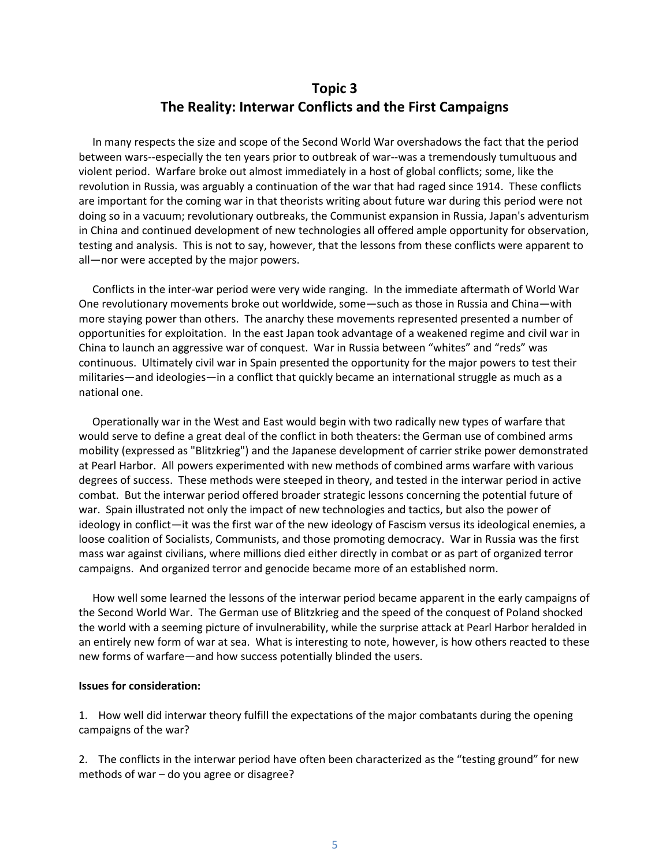# **Topic 3 The Reality: Interwar Conflicts and the First Campaigns**

 In many respects the size and scope of the Second World War overshadows the fact that the period between wars--especially the ten years prior to outbreak of war--was a tremendously tumultuous and violent period. Warfare broke out almost immediately in a host of global conflicts; some, like the revolution in Russia, was arguably a continuation of the war that had raged since 1914. These conflicts are important for the coming war in that theorists writing about future war during this period were not doing so in a vacuum; revolutionary outbreaks, the Communist expansion in Russia, Japan's adventurism in China and continued development of new technologies all offered ample opportunity for observation, testing and analysis. This is not to say, however, that the lessons from these conflicts were apparent to all—nor were accepted by the major powers.

 Conflicts in the inter-war period were very wide ranging. In the immediate aftermath of World War One revolutionary movements broke out worldwide, some—such as those in Russia and China—with more staying power than others. The anarchy these movements represented presented a number of opportunities for exploitation. In the east Japan took advantage of a weakened regime and civil war in China to launch an aggressive war of conquest. War in Russia between "whites" and "reds" was continuous. Ultimately civil war in Spain presented the opportunity for the major powers to test their militaries—and ideologies—in a conflict that quickly became an international struggle as much as a national one.

 Operationally war in the West and East would begin with two radically new types of warfare that would serve to define a great deal of the conflict in both theaters: the German use of combined arms mobility (expressed as "Blitzkrieg") and the Japanese development of carrier strike power demonstrated at Pearl Harbor. All powers experimented with new methods of combined arms warfare with various degrees of success. These methods were steeped in theory, and tested in the interwar period in active combat. But the interwar period offered broader strategic lessons concerning the potential future of war. Spain illustrated not only the impact of new technologies and tactics, but also the power of ideology in conflict—it was the first war of the new ideology of Fascism versus its ideological enemies, a loose coalition of Socialists, Communists, and those promoting democracy. War in Russia was the first mass war against civilians, where millions died either directly in combat or as part of organized terror campaigns. And organized terror and genocide became more of an established norm.

 How well some learned the lessons of the interwar period became apparent in the early campaigns of the Second World War. The German use of Blitzkrieg and the speed of the conquest of Poland shocked the world with a seeming picture of invulnerability, while the surprise attack at Pearl Harbor heralded in an entirely new form of war at sea. What is interesting to note, however, is how others reacted to these new forms of warfare—and how success potentially blinded the users.

# **Issues for consideration:**

1. How well did interwar theory fulfill the expectations of the major combatants during the opening campaigns of the war?

2. The conflicts in the interwar period have often been characterized as the "testing ground" for new methods of war – do you agree or disagree?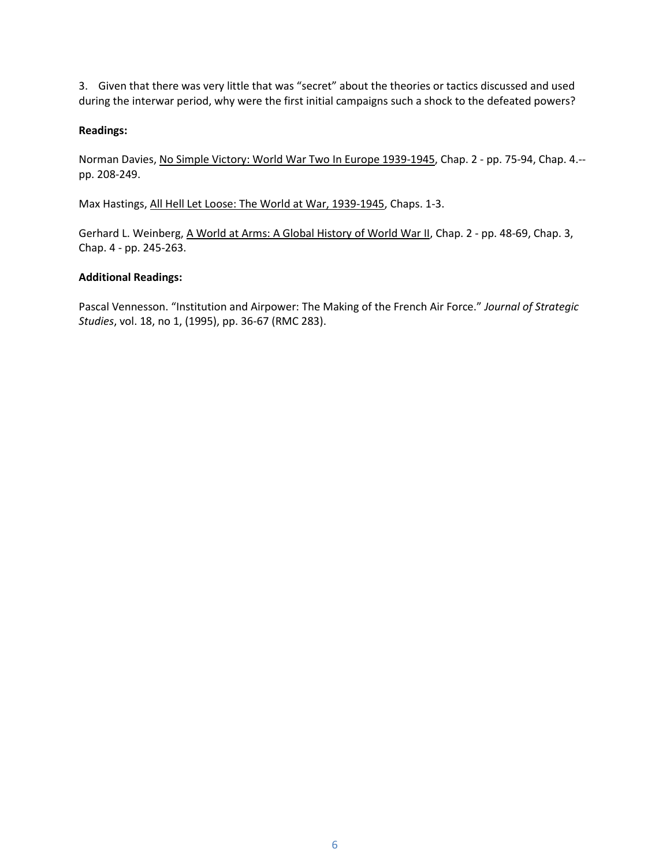3. Given that there was very little that was "secret" about the theories or tactics discussed and used during the interwar period, why were the first initial campaigns such a shock to the defeated powers?

# **Readings:**

Norman Davies, No Simple Victory: World War Two In Europe 1939-1945, Chap. 2 - pp. 75-94, Chap. 4.- pp. 208-249.

Max Hastings, All Hell Let Loose: The World at War, 1939-1945, Chaps. 1-3.

Gerhard L. Weinberg, A World at Arms: A Global History of World War II, Chap. 2 - pp. 48-69, Chap. 3, Chap. 4 - pp. 245-263.

# **Additional Readings:**

Pascal Vennesson. "Institution and Airpower: The Making of the French Air Force." *Journal of Strategic Studies*, vol. 18, no 1, (1995), pp. 36-67 (RMC 283).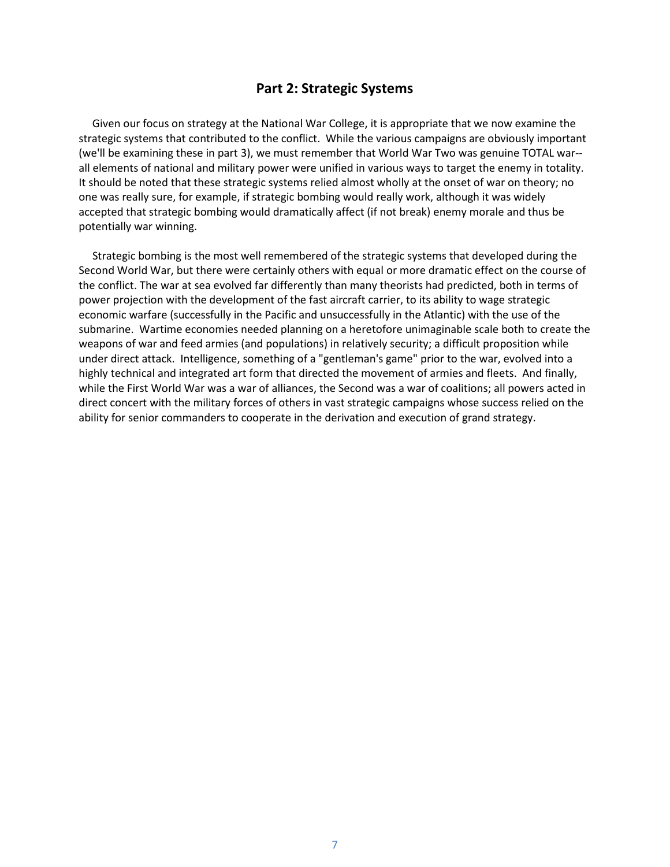# **Part 2: Strategic Systems**

 Given our focus on strategy at the National War College, it is appropriate that we now examine the strategic systems that contributed to the conflict. While the various campaigns are obviously important (we'll be examining these in part 3), we must remember that World War Two was genuine TOTAL war- all elements of national and military power were unified in various ways to target the enemy in totality. It should be noted that these strategic systems relied almost wholly at the onset of war on theory; no one was really sure, for example, if strategic bombing would really work, although it was widely accepted that strategic bombing would dramatically affect (if not break) enemy morale and thus be potentially war winning.

 Strategic bombing is the most well remembered of the strategic systems that developed during the Second World War, but there were certainly others with equal or more dramatic effect on the course of the conflict. The war at sea evolved far differently than many theorists had predicted, both in terms of power projection with the development of the fast aircraft carrier, to its ability to wage strategic economic warfare (successfully in the Pacific and unsuccessfully in the Atlantic) with the use of the submarine. Wartime economies needed planning on a heretofore unimaginable scale both to create the weapons of war and feed armies (and populations) in relatively security; a difficult proposition while under direct attack. Intelligence, something of a "gentleman's game" prior to the war, evolved into a highly technical and integrated art form that directed the movement of armies and fleets. And finally, while the First World War was a war of alliances, the Second was a war of coalitions; all powers acted in direct concert with the military forces of others in vast strategic campaigns whose success relied on the ability for senior commanders to cooperate in the derivation and execution of grand strategy.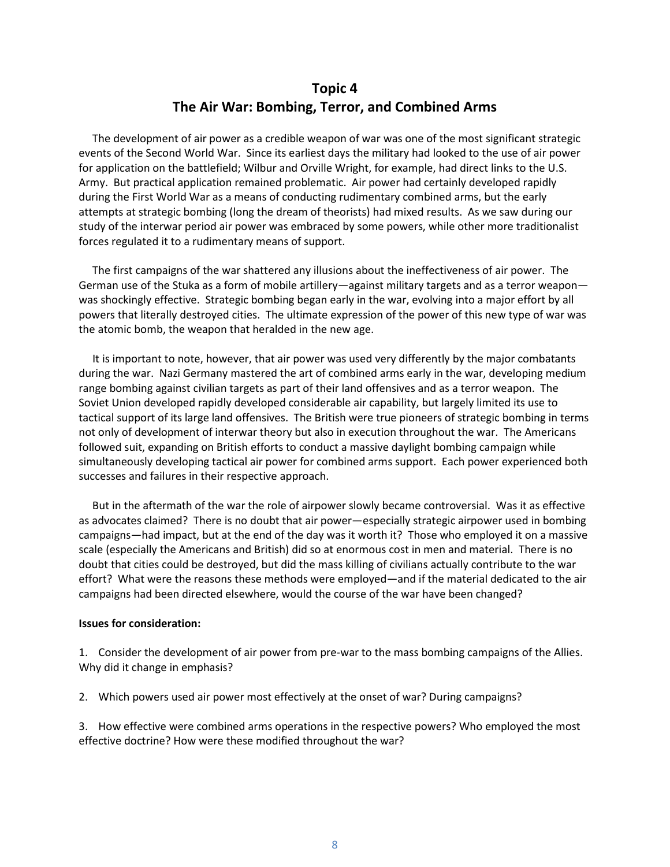# **Topic 4 The Air War: Bombing, Terror, and Combined Arms**

 The development of air power as a credible weapon of war was one of the most significant strategic events of the Second World War. Since its earliest days the military had looked to the use of air power for application on the battlefield; Wilbur and Orville Wright, for example, had direct links to the U.S. Army. But practical application remained problematic. Air power had certainly developed rapidly during the First World War as a means of conducting rudimentary combined arms, but the early attempts at strategic bombing (long the dream of theorists) had mixed results. As we saw during our study of the interwar period air power was embraced by some powers, while other more traditionalist forces regulated it to a rudimentary means of support.

 The first campaigns of the war shattered any illusions about the ineffectiveness of air power. The German use of the Stuka as a form of mobile artillery—against military targets and as a terror weapon was shockingly effective. Strategic bombing began early in the war, evolving into a major effort by all powers that literally destroyed cities. The ultimate expression of the power of this new type of war was the atomic bomb, the weapon that heralded in the new age.

 It is important to note, however, that air power was used very differently by the major combatants during the war. Nazi Germany mastered the art of combined arms early in the war, developing medium range bombing against civilian targets as part of their land offensives and as a terror weapon. The Soviet Union developed rapidly developed considerable air capability, but largely limited its use to tactical support of its large land offensives. The British were true pioneers of strategic bombing in terms not only of development of interwar theory but also in execution throughout the war. The Americans followed suit, expanding on British efforts to conduct a massive daylight bombing campaign while simultaneously developing tactical air power for combined arms support. Each power experienced both successes and failures in their respective approach.

 But in the aftermath of the war the role of airpower slowly became controversial. Was it as effective as advocates claimed? There is no doubt that air power—especially strategic airpower used in bombing campaigns—had impact, but at the end of the day was it worth it? Those who employed it on a massive scale (especially the Americans and British) did so at enormous cost in men and material. There is no doubt that cities could be destroyed, but did the mass killing of civilians actually contribute to the war effort? What were the reasons these methods were employed—and if the material dedicated to the air campaigns had been directed elsewhere, would the course of the war have been changed?

#### **Issues for consideration:**

1. Consider the development of air power from pre-war to the mass bombing campaigns of the Allies. Why did it change in emphasis?

2. Which powers used air power most effectively at the onset of war? During campaigns?

3. How effective were combined arms operations in the respective powers? Who employed the most effective doctrine? How were these modified throughout the war?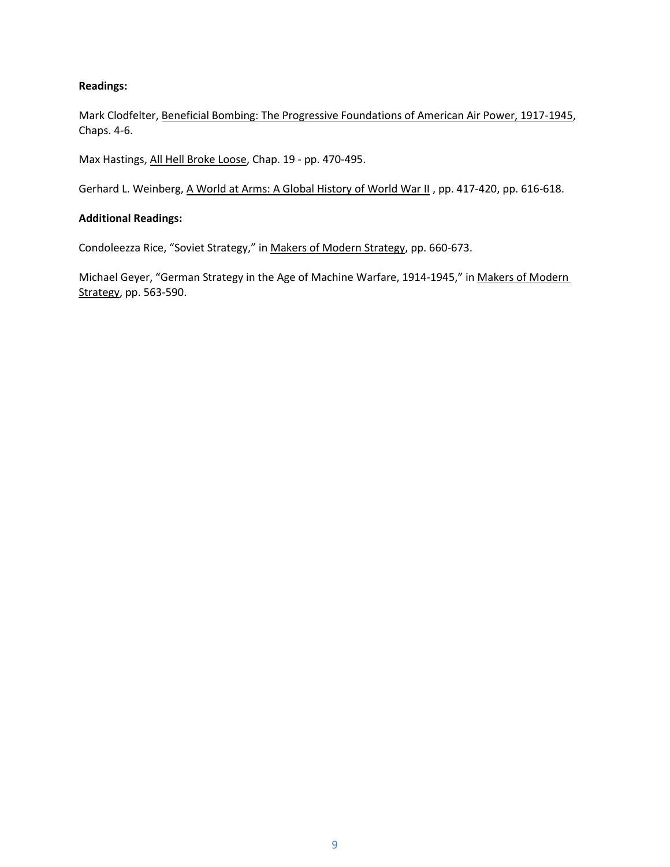# **Readings:**

Mark Clodfelter, Beneficial Bombing: The Progressive Foundations of American Air Power, 1917-1945, Chaps. 4-6.

Max Hastings, All Hell Broke Loose, Chap. 19 - pp. 470-495.

Gerhard L. Weinberg, A World at Arms: A Global History of World War II, pp. 417-420, pp. 616-618.

# **Additional Readings:**

Condoleezza Rice, "Soviet Strategy," in Makers of Modern Strategy, pp. 660-673.

Michael Geyer, "German Strategy in the Age of Machine Warfare, 1914-1945," in Makers of Modern Strategy, pp. 563-590.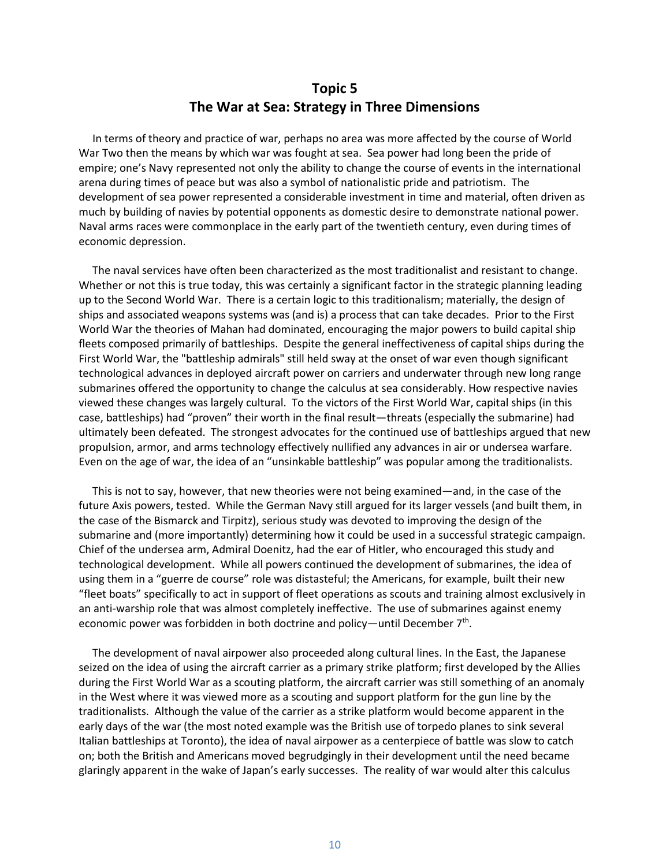# **Topic 5 The War at Sea: Strategy in Three Dimensions**

 In terms of theory and practice of war, perhaps no area was more affected by the course of World War Two then the means by which war was fought at sea. Sea power had long been the pride of empire; one's Navy represented not only the ability to change the course of events in the international arena during times of peace but was also a symbol of nationalistic pride and patriotism. The development of sea power represented a considerable investment in time and material, often driven as much by building of navies by potential opponents as domestic desire to demonstrate national power. Naval arms races were commonplace in the early part of the twentieth century, even during times of economic depression.

 The naval services have often been characterized as the most traditionalist and resistant to change. Whether or not this is true today, this was certainly a significant factor in the strategic planning leading up to the Second World War. There is a certain logic to this traditionalism; materially, the design of ships and associated weapons systems was (and is) a process that can take decades. Prior to the First World War the theories of Mahan had dominated, encouraging the major powers to build capital ship fleets composed primarily of battleships. Despite the general ineffectiveness of capital ships during the First World War, the "battleship admirals" still held sway at the onset of war even though significant technological advances in deployed aircraft power on carriers and underwater through new long range submarines offered the opportunity to change the calculus at sea considerably. How respective navies viewed these changes was largely cultural. To the victors of the First World War, capital ships (in this case, battleships) had "proven" their worth in the final result—threats (especially the submarine) had ultimately been defeated. The strongest advocates for the continued use of battleships argued that new propulsion, armor, and arms technology effectively nullified any advances in air or undersea warfare. Even on the age of war, the idea of an "unsinkable battleship" was popular among the traditionalists.

 This is not to say, however, that new theories were not being examined—and, in the case of the future Axis powers, tested. While the German Navy still argued for its larger vessels (and built them, in the case of the Bismarck and Tirpitz), serious study was devoted to improving the design of the submarine and (more importantly) determining how it could be used in a successful strategic campaign. Chief of the undersea arm, Admiral Doenitz, had the ear of Hitler, who encouraged this study and technological development. While all powers continued the development of submarines, the idea of using them in a "guerre de course" role was distasteful; the Americans, for example, built their new "fleet boats" specifically to act in support of fleet operations as scouts and training almost exclusively in an anti-warship role that was almost completely ineffective. The use of submarines against enemy economic power was forbidden in both doctrine and policy—until December  $7<sup>th</sup>$ .

 The development of naval airpower also proceeded along cultural lines. In the East, the Japanese seized on the idea of using the aircraft carrier as a primary strike platform; first developed by the Allies during the First World War as a scouting platform, the aircraft carrier was still something of an anomaly in the West where it was viewed more as a scouting and support platform for the gun line by the traditionalists. Although the value of the carrier as a strike platform would become apparent in the early days of the war (the most noted example was the British use of torpedo planes to sink several Italian battleships at Toronto), the idea of naval airpower as a centerpiece of battle was slow to catch on; both the British and Americans moved begrudgingly in their development until the need became glaringly apparent in the wake of Japan's early successes. The reality of war would alter this calculus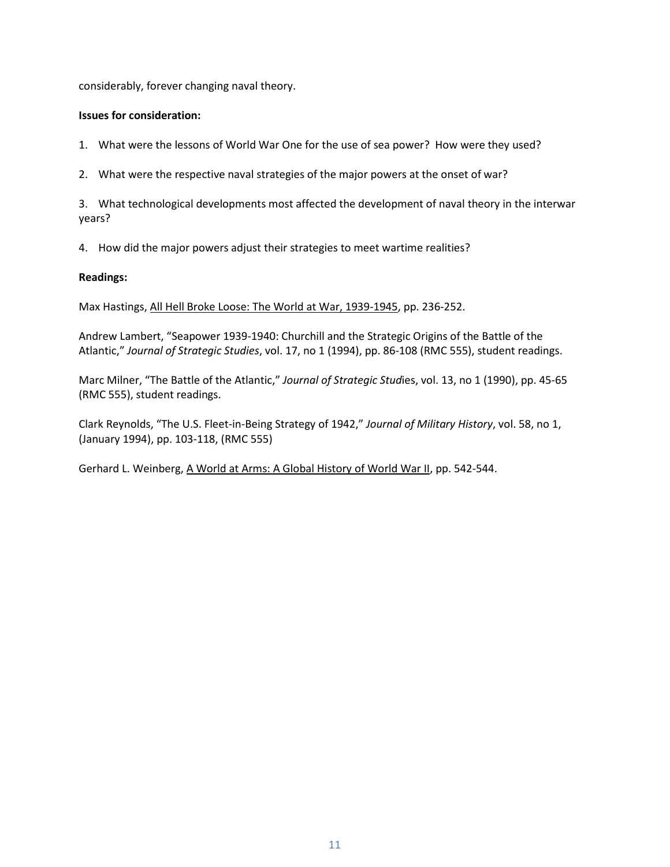considerably, forever changing naval theory.

## **Issues for consideration:**

1. What were the lessons of World War One for the use of sea power? How were they used?

2. What were the respective naval strategies of the major powers at the onset of war?

3. What technological developments most affected the development of naval theory in the interwar years?

4. How did the major powers adjust their strategies to meet wartime realities?

## **Readings:**

Max Hastings, All Hell Broke Loose: The World at War, 1939-1945, pp. 236-252.

Andrew Lambert, "Seapower 1939-1940: Churchill and the Strategic Origins of the Battle of the Atlantic," *Journal of Strategic Studies*, vol. 17, no 1 (1994), pp. 86-108 (RMC 555), student readings.

Marc Milner, "The Battle of the Atlantic," *Journal of Strategic Stud*ies, vol. 13, no 1 (1990), pp. 45-65 (RMC 555), student readings.

Clark Reynolds, "The U.S. Fleet-in-Being Strategy of 1942," *Journal of Military History*, vol. 58, no 1, (January 1994), pp. 103-118, (RMC 555)

Gerhard L. Weinberg, A World at Arms: A Global History of World War II, pp. 542-544.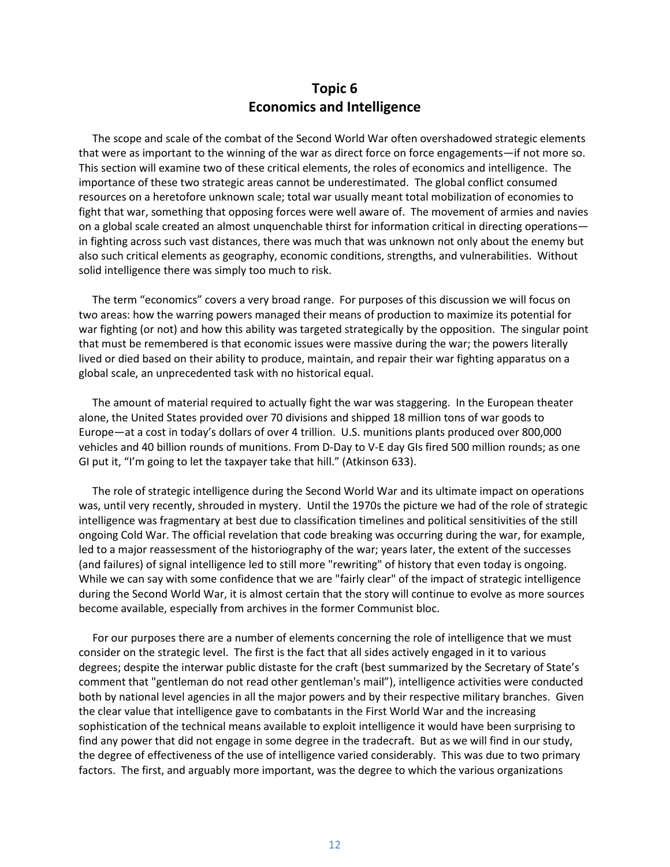# **Topic 6 Economics and Intelligence**

 The scope and scale of the combat of the Second World War often overshadowed strategic elements that were as important to the winning of the war as direct force on force engagements—if not more so. This section will examine two of these critical elements, the roles of economics and intelligence. The importance of these two strategic areas cannot be underestimated. The global conflict consumed resources on a heretofore unknown scale; total war usually meant total mobilization of economies to fight that war, something that opposing forces were well aware of. The movement of armies and navies on a global scale created an almost unquenchable thirst for information critical in directing operations in fighting across such vast distances, there was much that was unknown not only about the enemy but also such critical elements as geography, economic conditions, strengths, and vulnerabilities. Without solid intelligence there was simply too much to risk.

 The term "economics" covers a very broad range. For purposes of this discussion we will focus on two areas: how the warring powers managed their means of production to maximize its potential for war fighting (or not) and how this ability was targeted strategically by the opposition. The singular point that must be remembered is that economic issues were massive during the war; the powers literally lived or died based on their ability to produce, maintain, and repair their war fighting apparatus on a global scale, an unprecedented task with no historical equal.

 The amount of material required to actually fight the war was staggering. In the European theater alone, the United States provided over 70 divisions and shipped 18 million tons of war goods to Europe—at a cost in today's dollars of over 4 trillion. U.S. munitions plants produced over 800,000 vehicles and 40 billion rounds of munitions. From D-Day to V-E day GIs fired 500 million rounds; as one GI put it, "I'm going to let the taxpayer take that hill." (Atkinson 633).

 The role of strategic intelligence during the Second World War and its ultimate impact on operations was, until very recently, shrouded in mystery. Until the 1970s the picture we had of the role of strategic intelligence was fragmentary at best due to classification timelines and political sensitivities of the still ongoing Cold War. The official revelation that code breaking was occurring during the war, for example, led to a major reassessment of the historiography of the war; years later, the extent of the successes (and failures) of signal intelligence led to still more "rewriting" of history that even today is ongoing. While we can say with some confidence that we are "fairly clear" of the impact of strategic intelligence during the Second World War, it is almost certain that the story will continue to evolve as more sources become available, especially from archives in the former Communist bloc.

 For our purposes there are a number of elements concerning the role of intelligence that we must consider on the strategic level. The first is the fact that all sides actively engaged in it to various degrees; despite the interwar public distaste for the craft (best summarized by the Secretary of State's comment that "gentleman do not read other gentleman's mail"), intelligence activities were conducted both by national level agencies in all the major powers and by their respective military branches. Given the clear value that intelligence gave to combatants in the First World War and the increasing sophistication of the technical means available to exploit intelligence it would have been surprising to find any power that did not engage in some degree in the tradecraft. But as we will find in our study, the degree of effectiveness of the use of intelligence varied considerably. This was due to two primary factors. The first, and arguably more important, was the degree to which the various organizations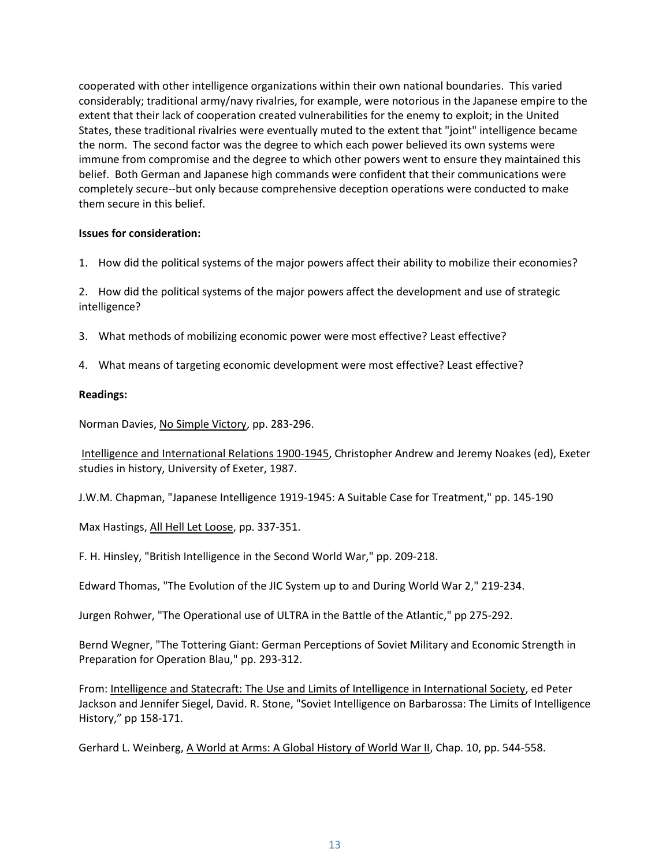cooperated with other intelligence organizations within their own national boundaries. This varied considerably; traditional army/navy rivalries, for example, were notorious in the Japanese empire to the extent that their lack of cooperation created vulnerabilities for the enemy to exploit; in the United States, these traditional rivalries were eventually muted to the extent that "joint" intelligence became the norm. The second factor was the degree to which each power believed its own systems were immune from compromise and the degree to which other powers went to ensure they maintained this belief. Both German and Japanese high commands were confident that their communications were completely secure--but only because comprehensive deception operations were conducted to make them secure in this belief.

#### **Issues for consideration:**

1. How did the political systems of the major powers affect their ability to mobilize their economies?

2. How did the political systems of the major powers affect the development and use of strategic intelligence?

- 3. What methods of mobilizing economic power were most effective? Least effective?
- 4. What means of targeting economic development were most effective? Least effective?

## **Readings:**

Norman Davies, No Simple Victory, pp. 283-296.

Intelligence and International Relations 1900-1945, Christopher Andrew and Jeremy Noakes (ed), Exeter studies in history, University of Exeter, 1987.

J.W.M. Chapman, "Japanese Intelligence 1919-1945: A Suitable Case for Treatment," pp. 145-190

Max Hastings, All Hell Let Loose, pp. 337-351.

F. H. Hinsley, "British Intelligence in the Second World War," pp. 209-218.

Edward Thomas, "The Evolution of the JIC System up to and During World War 2," 219-234.

Jurgen Rohwer, "The Operational use of ULTRA in the Battle of the Atlantic," pp 275-292.

Bernd Wegner, "The Tottering Giant: German Perceptions of Soviet Military and Economic Strength in Preparation for Operation Blau," pp. 293-312.

From: Intelligence and Statecraft: The Use and Limits of Intelligence in International Society, ed Peter Jackson and Jennifer Siegel, David. R. Stone, "Soviet Intelligence on Barbarossa: The Limits of Intelligence History," pp 158-171.

Gerhard L. Weinberg, A World at Arms: A Global History of World War II, Chap. 10, pp. 544-558.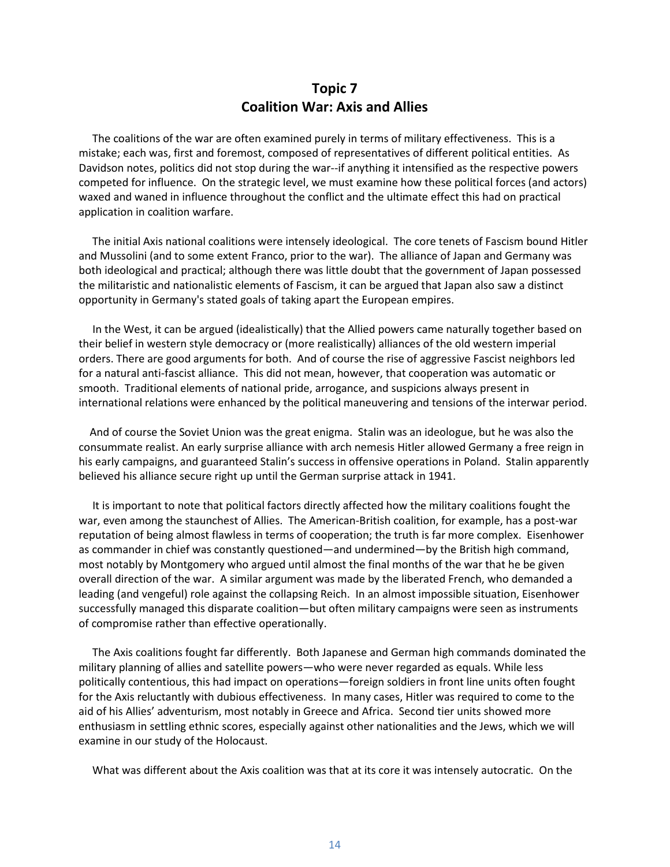# **Topic 7 Coalition War: Axis and Allies**

 The coalitions of the war are often examined purely in terms of military effectiveness. This is a mistake; each was, first and foremost, composed of representatives of different political entities. As Davidson notes, politics did not stop during the war--if anything it intensified as the respective powers competed for influence. On the strategic level, we must examine how these political forces (and actors) waxed and waned in influence throughout the conflict and the ultimate effect this had on practical application in coalition warfare.

 The initial Axis national coalitions were intensely ideological. The core tenets of Fascism bound Hitler and Mussolini (and to some extent Franco, prior to the war). The alliance of Japan and Germany was both ideological and practical; although there was little doubt that the government of Japan possessed the militaristic and nationalistic elements of Fascism, it can be argued that Japan also saw a distinct opportunity in Germany's stated goals of taking apart the European empires.

 In the West, it can be argued (idealistically) that the Allied powers came naturally together based on their belief in western style democracy or (more realistically) alliances of the old western imperial orders. There are good arguments for both. And of course the rise of aggressive Fascist neighbors led for a natural anti-fascist alliance. This did not mean, however, that cooperation was automatic or smooth. Traditional elements of national pride, arrogance, and suspicions always present in international relations were enhanced by the political maneuvering and tensions of the interwar period.

 And of course the Soviet Union was the great enigma. Stalin was an ideologue, but he was also the consummate realist. An early surprise alliance with arch nemesis Hitler allowed Germany a free reign in his early campaigns, and guaranteed Stalin's success in offensive operations in Poland. Stalin apparently believed his alliance secure right up until the German surprise attack in 1941.

 It is important to note that political factors directly affected how the military coalitions fought the war, even among the staunchest of Allies. The American-British coalition, for example, has a post-war reputation of being almost flawless in terms of cooperation; the truth is far more complex. Eisenhower as commander in chief was constantly questioned—and undermined—by the British high command, most notably by Montgomery who argued until almost the final months of the war that he be given overall direction of the war. A similar argument was made by the liberated French, who demanded a leading (and vengeful) role against the collapsing Reich. In an almost impossible situation, Eisenhower successfully managed this disparate coalition—but often military campaigns were seen as instruments of compromise rather than effective operationally.

 The Axis coalitions fought far differently. Both Japanese and German high commands dominated the military planning of allies and satellite powers—who were never regarded as equals. While less politically contentious, this had impact on operations—foreign soldiers in front line units often fought for the Axis reluctantly with dubious effectiveness. In many cases, Hitler was required to come to the aid of his Allies' adventurism, most notably in Greece and Africa. Second tier units showed more enthusiasm in settling ethnic scores, especially against other nationalities and the Jews, which we will examine in our study of the Holocaust.

What was different about the Axis coalition was that at its core it was intensely autocratic. On the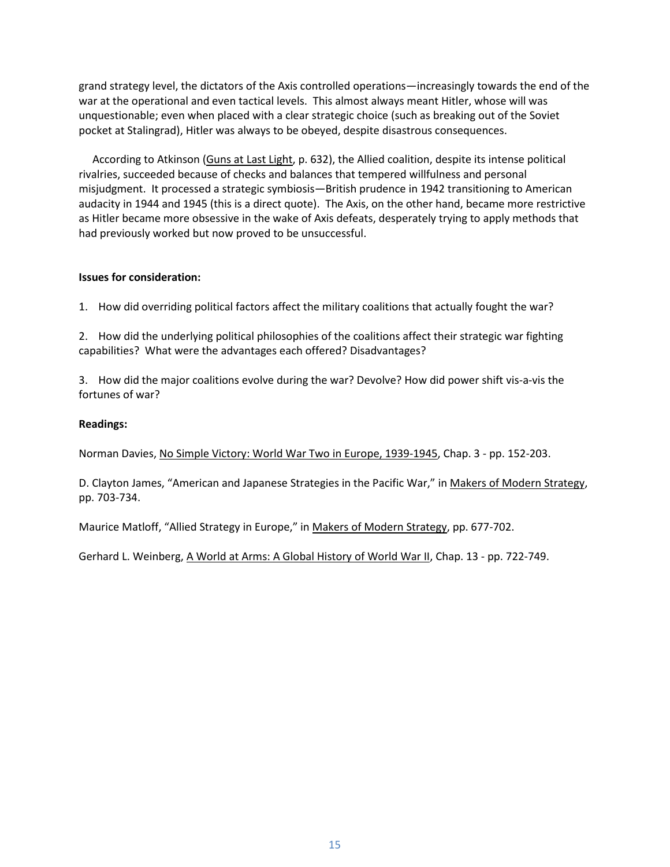grand strategy level, the dictators of the Axis controlled operations—increasingly towards the end of the war at the operational and even tactical levels. This almost always meant Hitler, whose will was unquestionable; even when placed with a clear strategic choice (such as breaking out of the Soviet pocket at Stalingrad), Hitler was always to be obeyed, despite disastrous consequences.

 According to Atkinson (Guns at Last Light, p. 632), the Allied coalition, despite its intense political rivalries, succeeded because of checks and balances that tempered willfulness and personal misjudgment. It processed a strategic symbiosis—British prudence in 1942 transitioning to American audacity in 1944 and 1945 (this is a direct quote). The Axis, on the other hand, became more restrictive as Hitler became more obsessive in the wake of Axis defeats, desperately trying to apply methods that had previously worked but now proved to be unsuccessful.

# **Issues for consideration:**

1. How did overriding political factors affect the military coalitions that actually fought the war?

2. How did the underlying political philosophies of the coalitions affect their strategic war fighting capabilities? What were the advantages each offered? Disadvantages?

3. How did the major coalitions evolve during the war? Devolve? How did power shift vis-a-vis the fortunes of war?

# **Readings:**

Norman Davies, No Simple Victory: World War Two in Europe, 1939-1945, Chap. 3 - pp. 152-203.

D. Clayton James, "American and Japanese Strategies in the Pacific War," in Makers of Modern Strategy, pp. 703-734.

Maurice Matloff, "Allied Strategy in Europe," in Makers of Modern Strategy, pp. 677-702.

Gerhard L. Weinberg, A World at Arms: A Global History of World War II, Chap. 13 - pp. 722-749.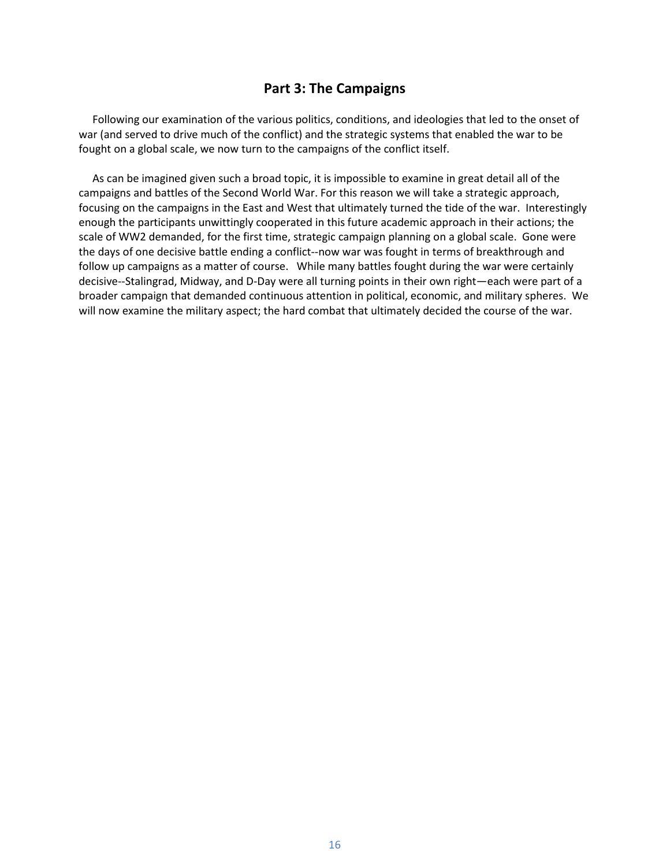# **Part 3: The Campaigns**

 Following our examination of the various politics, conditions, and ideologies that led to the onset of war (and served to drive much of the conflict) and the strategic systems that enabled the war to be fought on a global scale, we now turn to the campaigns of the conflict itself.

 As can be imagined given such a broad topic, it is impossible to examine in great detail all of the campaigns and battles of the Second World War. For this reason we will take a strategic approach, focusing on the campaigns in the East and West that ultimately turned the tide of the war. Interestingly enough the participants unwittingly cooperated in this future academic approach in their actions; the scale of WW2 demanded, for the first time, strategic campaign planning on a global scale. Gone were the days of one decisive battle ending a conflict--now war was fought in terms of breakthrough and follow up campaigns as a matter of course. While many battles fought during the war were certainly decisive--Stalingrad, Midway, and D-Day were all turning points in their own right—each were part of a broader campaign that demanded continuous attention in political, economic, and military spheres. We will now examine the military aspect; the hard combat that ultimately decided the course of the war.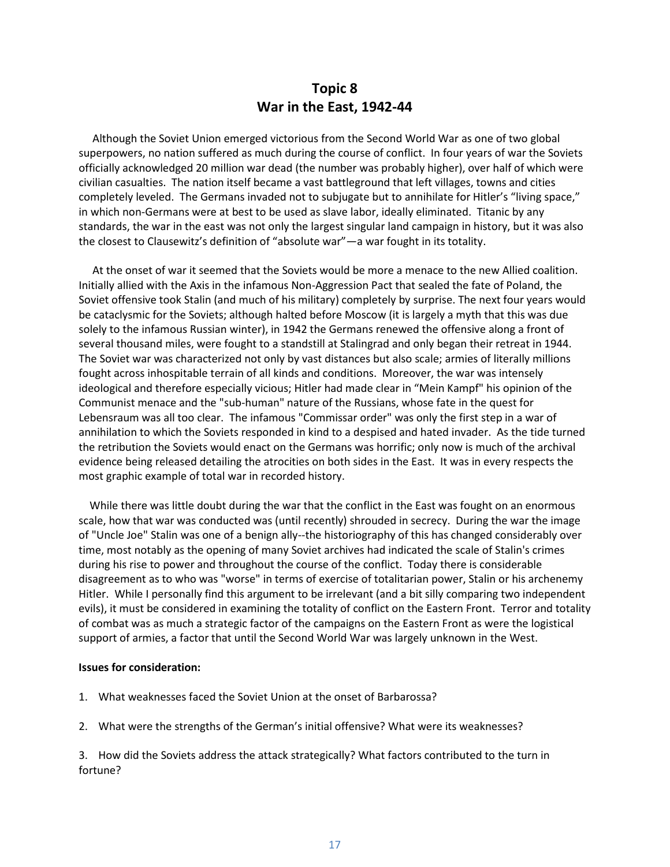# **Topic 8 War in the East, 1942-44**

 Although the Soviet Union emerged victorious from the Second World War as one of two global superpowers, no nation suffered as much during the course of conflict. In four years of war the Soviets officially acknowledged 20 million war dead (the number was probably higher), over half of which were civilian casualties. The nation itself became a vast battleground that left villages, towns and cities completely leveled. The Germans invaded not to subjugate but to annihilate for Hitler's "living space," in which non-Germans were at best to be used as slave labor, ideally eliminated. Titanic by any standards, the war in the east was not only the largest singular land campaign in history, but it was also the closest to Clausewitz's definition of "absolute war"—a war fought in its totality.

 At the onset of war it seemed that the Soviets would be more a menace to the new Allied coalition. Initially allied with the Axis in the infamous Non-Aggression Pact that sealed the fate of Poland, the Soviet offensive took Stalin (and much of his military) completely by surprise. The next four years would be cataclysmic for the Soviets; although halted before Moscow (it is largely a myth that this was due solely to the infamous Russian winter), in 1942 the Germans renewed the offensive along a front of several thousand miles, were fought to a standstill at Stalingrad and only began their retreat in 1944. The Soviet war was characterized not only by vast distances but also scale; armies of literally millions fought across inhospitable terrain of all kinds and conditions. Moreover, the war was intensely ideological and therefore especially vicious; Hitler had made clear in "Mein Kampf" his opinion of the Communist menace and the "sub-human" nature of the Russians, whose fate in the quest for Lebensraum was all too clear. The infamous "Commissar order" was only the first step in a war of annihilation to which the Soviets responded in kind to a despised and hated invader. As the tide turned the retribution the Soviets would enact on the Germans was horrific; only now is much of the archival evidence being released detailing the atrocities on both sides in the East. It was in every respects the most graphic example of total war in recorded history.

 While there was little doubt during the war that the conflict in the East was fought on an enormous scale, how that war was conducted was (until recently) shrouded in secrecy. During the war the image of "Uncle Joe" Stalin was one of a benign ally--the historiography of this has changed considerably over time, most notably as the opening of many Soviet archives had indicated the scale of Stalin's crimes during his rise to power and throughout the course of the conflict. Today there is considerable disagreement as to who was "worse" in terms of exercise of totalitarian power, Stalin or his archenemy Hitler. While I personally find this argument to be irrelevant (and a bit silly comparing two independent evils), it must be considered in examining the totality of conflict on the Eastern Front. Terror and totality of combat was as much a strategic factor of the campaigns on the Eastern Front as were the logistical support of armies, a factor that until the Second World War was largely unknown in the West.

#### **Issues for consideration:**

- 1. What weaknesses faced the Soviet Union at the onset of Barbarossa?
- 2. What were the strengths of the German's initial offensive? What were its weaknesses?

3. How did the Soviets address the attack strategically? What factors contributed to the turn in fortune?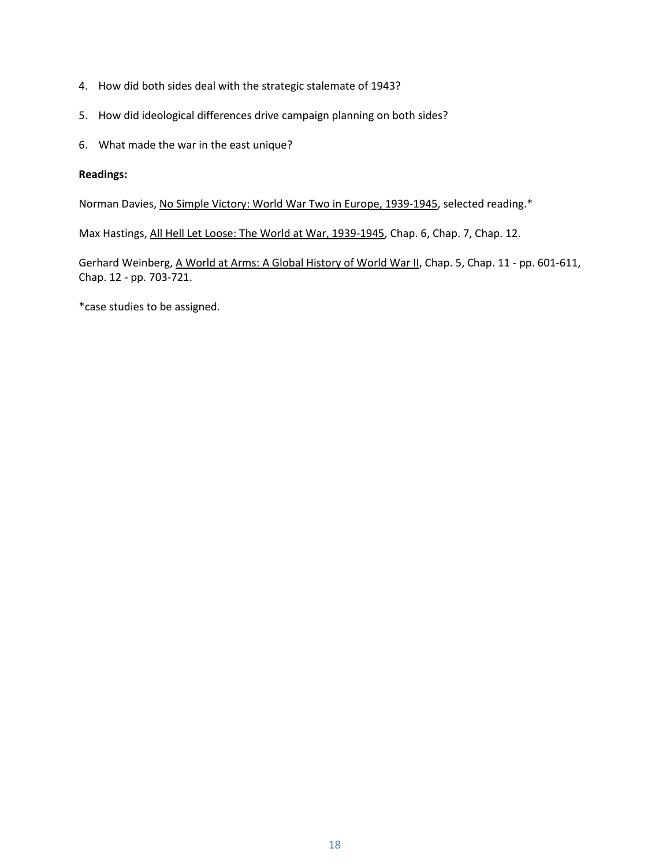- 4. How did both sides deal with the strategic stalemate of 1943?
- 5. How did ideological differences drive campaign planning on both sides?
- 6. What made the war in the east unique?

## **Readings:**

Norman Davies, No Simple Victory: World War Two in Europe, 1939-1945, selected reading.\*

Max Hastings, All Hell Let Loose: The World at War, 1939-1945, Chap. 6, Chap. 7, Chap. 12.

Gerhard Weinberg, A World at Arms: A Global History of World War II, Chap. 5, Chap. 11 - pp. 601-611, Chap. 12 - pp. 703-721.

\*case studies to be assigned.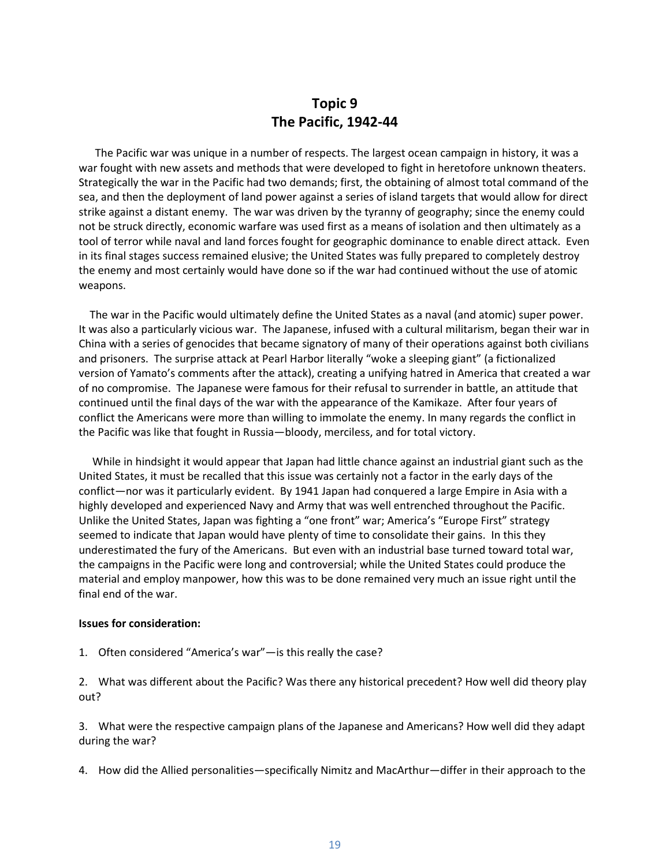# **Topic 9 The Pacific, 1942-44**

 The Pacific war was unique in a number of respects. The largest ocean campaign in history, it was a war fought with new assets and methods that were developed to fight in heretofore unknown theaters. Strategically the war in the Pacific had two demands; first, the obtaining of almost total command of the sea, and then the deployment of land power against a series of island targets that would allow for direct strike against a distant enemy. The war was driven by the tyranny of geography; since the enemy could not be struck directly, economic warfare was used first as a means of isolation and then ultimately as a tool of terror while naval and land forces fought for geographic dominance to enable direct attack. Even in its final stages success remained elusive; the United States was fully prepared to completely destroy the enemy and most certainly would have done so if the war had continued without the use of atomic weapons.

 The war in the Pacific would ultimately define the United States as a naval (and atomic) super power. It was also a particularly vicious war. The Japanese, infused with a cultural militarism, began their war in China with a series of genocides that became signatory of many of their operations against both civilians and prisoners. The surprise attack at Pearl Harbor literally "woke a sleeping giant" (a fictionalized version of Yamato's comments after the attack), creating a unifying hatred in America that created a war of no compromise. The Japanese were famous for their refusal to surrender in battle, an attitude that continued until the final days of the war with the appearance of the Kamikaze. After four years of conflict the Americans were more than willing to immolate the enemy. In many regards the conflict in the Pacific was like that fought in Russia—bloody, merciless, and for total victory.

 While in hindsight it would appear that Japan had little chance against an industrial giant such as the United States, it must be recalled that this issue was certainly not a factor in the early days of the conflict—nor was it particularly evident. By 1941 Japan had conquered a large Empire in Asia with a highly developed and experienced Navy and Army that was well entrenched throughout the Pacific. Unlike the United States, Japan was fighting a "one front" war; America's "Europe First" strategy seemed to indicate that Japan would have plenty of time to consolidate their gains. In this they underestimated the fury of the Americans. But even with an industrial base turned toward total war, the campaigns in the Pacific were long and controversial; while the United States could produce the material and employ manpower, how this was to be done remained very much an issue right until the final end of the war.

#### **Issues for consideration:**

1. Often considered "America's war"—is this really the case?

2. What was different about the Pacific? Was there any historical precedent? How well did theory play out?

3. What were the respective campaign plans of the Japanese and Americans? How well did they adapt during the war?

4. How did the Allied personalities—specifically Nimitz and MacArthur—differ in their approach to the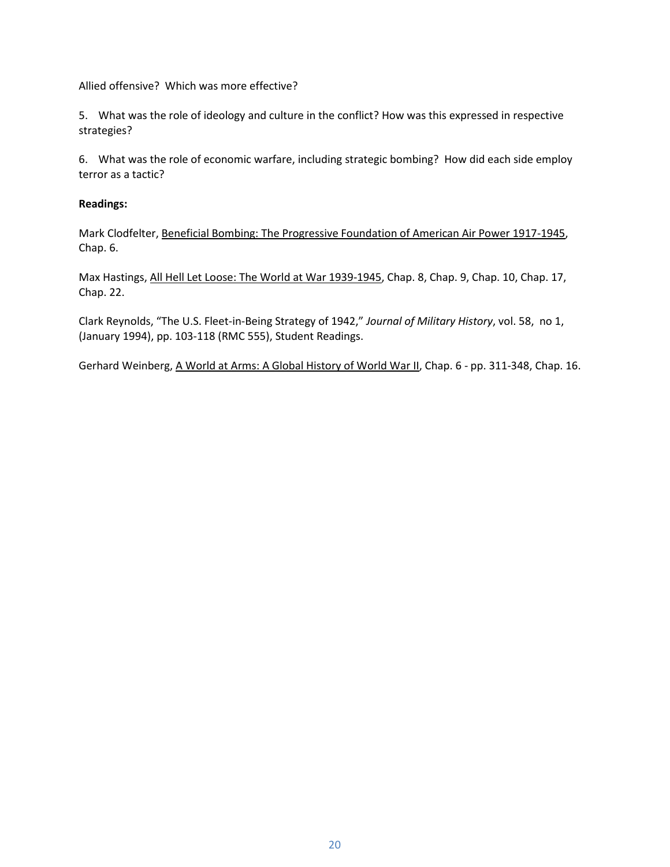Allied offensive? Which was more effective?

5. What was the role of ideology and culture in the conflict? How was this expressed in respective strategies?

6. What was the role of economic warfare, including strategic bombing? How did each side employ terror as a tactic?

## **Readings:**

Mark Clodfelter, Beneficial Bombing: The Progressive Foundation of American Air Power 1917-1945, Chap. 6.

Max Hastings, All Hell Let Loose: The World at War 1939-1945, Chap. 8, Chap. 9, Chap. 10, Chap. 17, Chap. 22.

Clark Reynolds, "The U.S. Fleet-in-Being Strategy of 1942," *Journal of Military History*, vol. 58, no 1, (January 1994), pp. 103-118 (RMC 555), Student Readings.

Gerhard Weinberg, A World at Arms: A Global History of World War II, Chap. 6 - pp. 311-348, Chap. 16.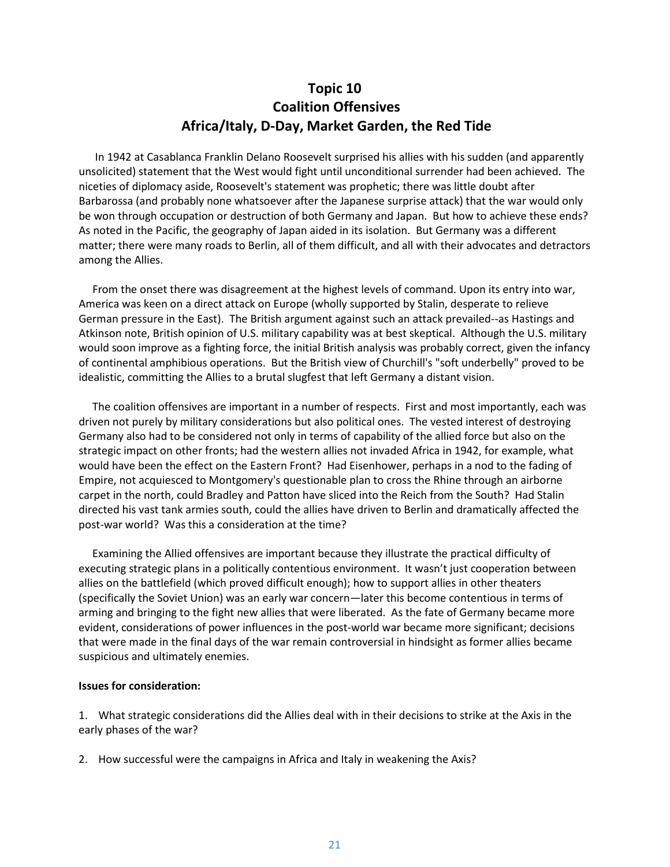# **Topic 10 Coalition Offensives Africa/Italy, D-Day, Market Garden, the Red Tide**

 In 1942 at Casablanca Franklin Delano Roosevelt surprised his allies with his sudden (and apparently unsolicited) statement that the West would fight until unconditional surrender had been achieved. The niceties of diplomacy aside, Roosevelt's statement was prophetic; there was little doubt after Barbarossa (and probably none whatsoever after the Japanese surprise attack) that the war would only be won through occupation or destruction of both Germany and Japan. But how to achieve these ends? As noted in the Pacific, the geography of Japan aided in its isolation. But Germany was a different matter; there were many roads to Berlin, all of them difficult, and all with their advocates and detractors among the Allies.

 From the onset there was disagreement at the highest levels of command. Upon its entry into war, America was keen on a direct attack on Europe (wholly supported by Stalin, desperate to relieve German pressure in the East). The British argument against such an attack prevailed--as Hastings and Atkinson note, British opinion of U.S. military capability was at best skeptical. Although the U.S. military would soon improve as a fighting force, the initial British analysis was probably correct, given the infancy of continental amphibious operations. But the British view of Churchill's "soft underbelly" proved to be idealistic, committing the Allies to a brutal slugfest that left Germany a distant vision.

 The coalition offensives are important in a number of respects. First and most importantly, each was driven not purely by military considerations but also political ones. The vested interest of destroying Germany also had to be considered not only in terms of capability of the allied force but also on the strategic impact on other fronts; had the western allies not invaded Africa in 1942, for example, what would have been the effect on the Eastern Front? Had Eisenhower, perhaps in a nod to the fading of Empire, not acquiesced to Montgomery's questionable plan to cross the Rhine through an airborne carpet in the north, could Bradley and Patton have sliced into the Reich from the South? Had Stalin directed his vast tank armies south, could the allies have driven to Berlin and dramatically affected the post-war world? Was this a consideration at the time?

 Examining the Allied offensives are important because they illustrate the practical difficulty of executing strategic plans in a politically contentious environment. It wasn't just cooperation between allies on the battlefield (which proved difficult enough); how to support allies in other theaters (specifically the Soviet Union) was an early war concern—later this become contentious in terms of arming and bringing to the fight new allies that were liberated. As the fate of Germany became more evident, considerations of power influences in the post-world war became more significant; decisions that were made in the final days of the war remain controversial in hindsight as former allies became suspicious and ultimately enemies.

#### **Issues for consideration:**

1. What strategic considerations did the Allies deal with in their decisions to strike at the Axis in the early phases of the war?

2. How successful were the campaigns in Africa and Italy in weakening the Axis?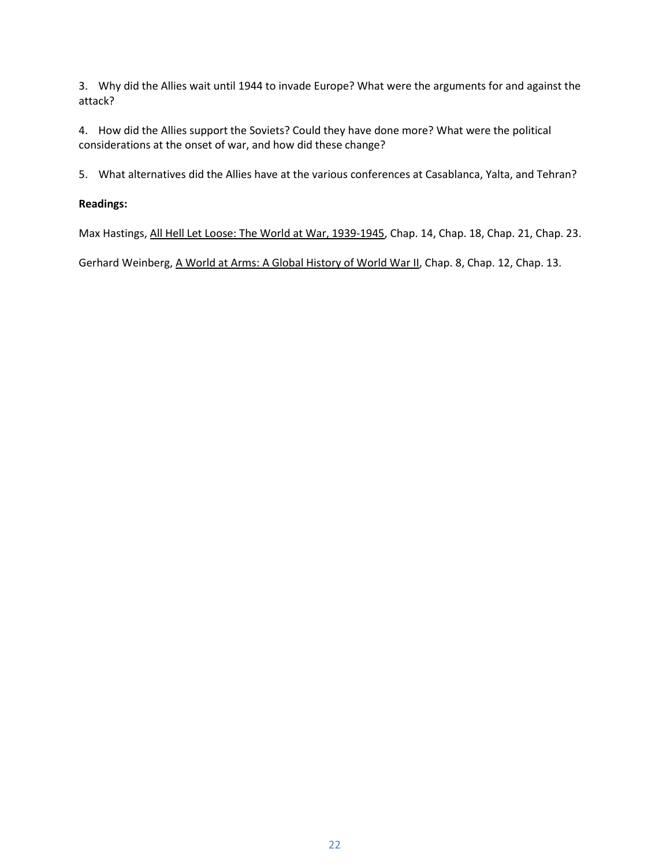3. Why did the Allies wait until 1944 to invade Europe? What were the arguments for and against the attack?

4. How did the Allies support the Soviets? Could they have done more? What were the political considerations at the onset of war, and how did these change?

5. What alternatives did the Allies have at the various conferences at Casablanca, Yalta, and Tehran?

# **Readings:**

Max Hastings, All Hell Let Loose: The World at War, 1939-1945, Chap. 14, Chap. 18, Chap. 21, Chap. 23.

Gerhard Weinberg, A World at Arms: A Global History of World War II, Chap. 8, Chap. 12, Chap. 13.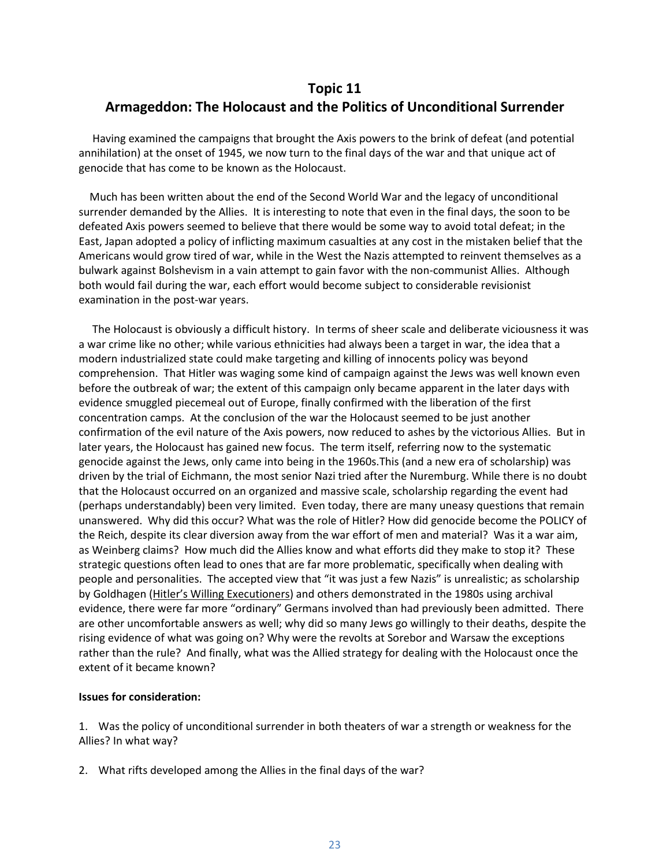# **Topic 11 Armageddon: The Holocaust and the Politics of Unconditional Surrender**

 Having examined the campaigns that brought the Axis powers to the brink of defeat (and potential annihilation) at the onset of 1945, we now turn to the final days of the war and that unique act of genocide that has come to be known as the Holocaust.

 Much has been written about the end of the Second World War and the legacy of unconditional surrender demanded by the Allies. It is interesting to note that even in the final days, the soon to be defeated Axis powers seemed to believe that there would be some way to avoid total defeat; in the East, Japan adopted a policy of inflicting maximum casualties at any cost in the mistaken belief that the Americans would grow tired of war, while in the West the Nazis attempted to reinvent themselves as a bulwark against Bolshevism in a vain attempt to gain favor with the non-communist Allies. Although both would fail during the war, each effort would become subject to considerable revisionist examination in the post-war years.

 The Holocaust is obviously a difficult history. In terms of sheer scale and deliberate viciousness it was a war crime like no other; while various ethnicities had always been a target in war, the idea that a modern industrialized state could make targeting and killing of innocents policy was beyond comprehension. That Hitler was waging some kind of campaign against the Jews was well known even before the outbreak of war; the extent of this campaign only became apparent in the later days with evidence smuggled piecemeal out of Europe, finally confirmed with the liberation of the first concentration camps. At the conclusion of the war the Holocaust seemed to be just another confirmation of the evil nature of the Axis powers, now reduced to ashes by the victorious Allies. But in later years, the Holocaust has gained new focus. The term itself, referring now to the systematic genocide against the Jews, only came into being in the 1960s.This (and a new era of scholarship) was driven by the trial of Eichmann, the most senior Nazi tried after the Nuremburg. While there is no doubt that the Holocaust occurred on an organized and massive scale, scholarship regarding the event had (perhaps understandably) been very limited. Even today, there are many uneasy questions that remain unanswered. Why did this occur? What was the role of Hitler? How did genocide become the POLICY of the Reich, despite its clear diversion away from the war effort of men and material? Was it a war aim, as Weinberg claims? How much did the Allies know and what efforts did they make to stop it? These strategic questions often lead to ones that are far more problematic, specifically when dealing with people and personalities. The accepted view that "it was just a few Nazis" is unrealistic; as scholarship by Goldhagen (Hitler's Willing Executioners) and others demonstrated in the 1980s using archival evidence, there were far more "ordinary" Germans involved than had previously been admitted. There are other uncomfortable answers as well; why did so many Jews go willingly to their deaths, despite the rising evidence of what was going on? Why were the revolts at Sorebor and Warsaw the exceptions rather than the rule? And finally, what was the Allied strategy for dealing with the Holocaust once the extent of it became known?

#### **Issues for consideration:**

1. Was the policy of unconditional surrender in both theaters of war a strength or weakness for the Allies? In what way?

2. What rifts developed among the Allies in the final days of the war?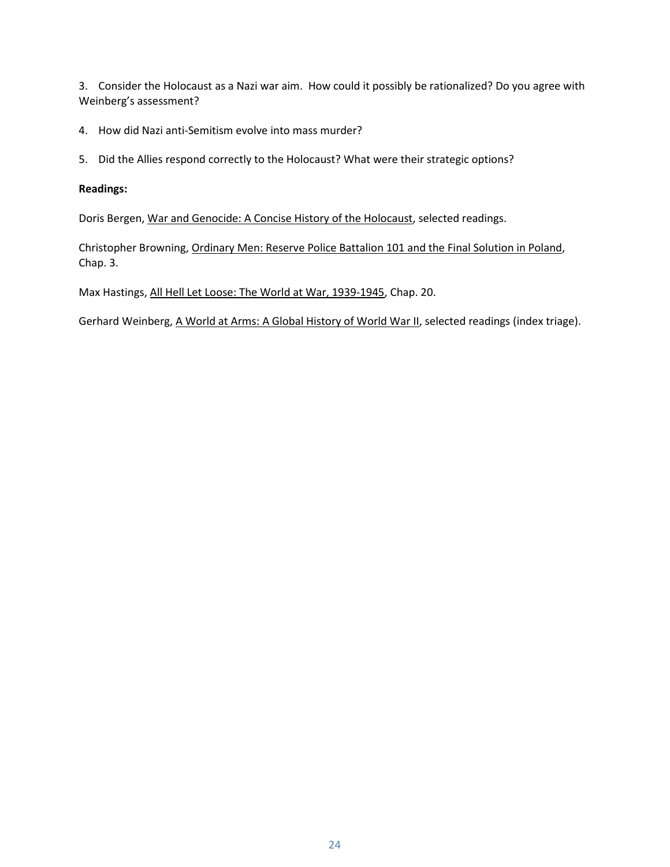3. Consider the Holocaust as a Nazi war aim. How could it possibly be rationalized? Do you agree with Weinberg's assessment?

- 4. How did Nazi anti-Semitism evolve into mass murder?
- 5. Did the Allies respond correctly to the Holocaust? What were their strategic options?

# **Readings:**

Doris Bergen, War and Genocide: A Concise History of the Holocaust, selected readings.

Christopher Browning, Ordinary Men: Reserve Police Battalion 101 and the Final Solution in Poland, Chap. 3.

Max Hastings, All Hell Let Loose: The World at War, 1939-1945, Chap. 20.

Gerhard Weinberg, A World at Arms: A Global History of World War II, selected readings (index triage).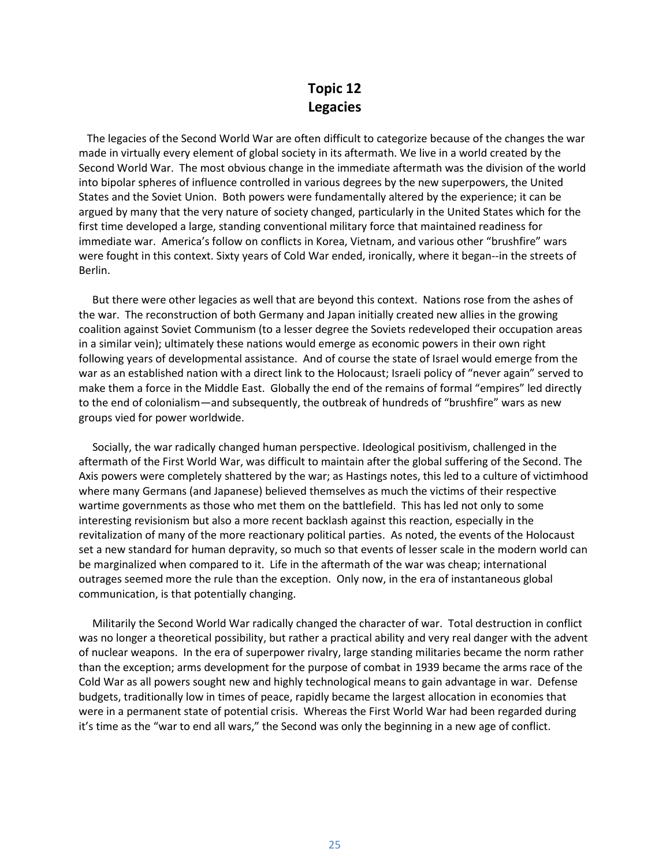# **Topic 12 Legacies**

 The legacies of the Second World War are often difficult to categorize because of the changes the war made in virtually every element of global society in its aftermath. We live in a world created by the Second World War. The most obvious change in the immediate aftermath was the division of the world into bipolar spheres of influence controlled in various degrees by the new superpowers, the United States and the Soviet Union. Both powers were fundamentally altered by the experience; it can be argued by many that the very nature of society changed, particularly in the United States which for the first time developed a large, standing conventional military force that maintained readiness for immediate war. America's follow on conflicts in Korea, Vietnam, and various other "brushfire" wars were fought in this context. Sixty years of Cold War ended, ironically, where it began--in the streets of Berlin.

 But there were other legacies as well that are beyond this context. Nations rose from the ashes of the war. The reconstruction of both Germany and Japan initially created new allies in the growing coalition against Soviet Communism (to a lesser degree the Soviets redeveloped their occupation areas in a similar vein); ultimately these nations would emerge as economic powers in their own right following years of developmental assistance. And of course the state of Israel would emerge from the war as an established nation with a direct link to the Holocaust; Israeli policy of "never again" served to make them a force in the Middle East. Globally the end of the remains of formal "empires" led directly to the end of colonialism—and subsequently, the outbreak of hundreds of "brushfire" wars as new groups vied for power worldwide.

 Socially, the war radically changed human perspective. Ideological positivism, challenged in the aftermath of the First World War, was difficult to maintain after the global suffering of the Second. The Axis powers were completely shattered by the war; as Hastings notes, this led to a culture of victimhood where many Germans (and Japanese) believed themselves as much the victims of their respective wartime governments as those who met them on the battlefield. This has led not only to some interesting revisionism but also a more recent backlash against this reaction, especially in the revitalization of many of the more reactionary political parties. As noted, the events of the Holocaust set a new standard for human depravity, so much so that events of lesser scale in the modern world can be marginalized when compared to it. Life in the aftermath of the war was cheap; international outrages seemed more the rule than the exception. Only now, in the era of instantaneous global communication, is that potentially changing.

 Militarily the Second World War radically changed the character of war. Total destruction in conflict was no longer a theoretical possibility, but rather a practical ability and very real danger with the advent of nuclear weapons. In the era of superpower rivalry, large standing militaries became the norm rather than the exception; arms development for the purpose of combat in 1939 became the arms race of the Cold War as all powers sought new and highly technological means to gain advantage in war. Defense budgets, traditionally low in times of peace, rapidly became the largest allocation in economies that were in a permanent state of potential crisis. Whereas the First World War had been regarded during it's time as the "war to end all wars," the Second was only the beginning in a new age of conflict.